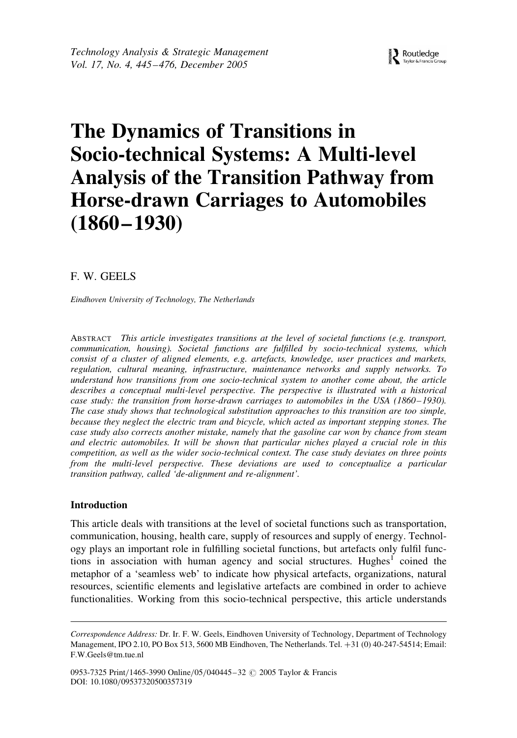# The Dynamics of Transitions in Socio-technical Systems: A Multi-level Analysis of the Transition Pathway from Horse-drawn Carriages to Automobiles (1860–1930)

## F. W. GEELS

Eindhoven University of Technology, The Netherlands

ABSTRACT This article investigates transitions at the level of societal functions (e.g. transport, communication, housing). Societal functions are fulfilled by socio-technical systems, which consist of a cluster of aligned elements, e.g. artefacts, knowledge, user practices and markets, regulation, cultural meaning, infrastructure, maintenance networks and supply networks. To understand how transitions from one socio-technical system to another come about, the article describes a conceptual multi-level perspective. The perspective is illustrated with a historical case study: the transition from horse-drawn carriages to automobiles in the USA (1860–1930). The case study shows that technological substitution approaches to this transition are too simple, because they neglect the electric tram and bicycle, which acted as important stepping stones. The case study also corrects another mistake, namely that the gasoline car won by chance from steam and electric automobiles. It will be shown that particular niches played a crucial role in this competition, as well as the wider socio-technical context. The case study deviates on three points from the multi-level perspective. These deviations are used to conceptualize a particular transition pathway, called 'de-alignment and re-alignment'.

#### Introduction

This article deals with transitions at the level of societal functions such as transportation, communication, housing, health care, supply of resources and supply of energy. Technology plays an important role in fulfilling societal functions, but artefacts only fulfil functions in association with human agency and social structures. Hughes<sup>1</sup> coined the metaphor of a 'seamless web' to indicate how physical artefacts, organizations, natural resources, scientific elements and legislative artefacts are combined in order to achieve functionalities. Working from this socio-technical perspective, this article understands

Correspondence Address: Dr. Ir. F. W. Geels, Eindhoven University of Technology, Department of Technology Management, IPO 2.10, PO Box 513, 5600 MB Eindhoven, The Netherlands. Tel. +31 (0) 40-247-54514; Email: F.W.Geels@tm.tue.nl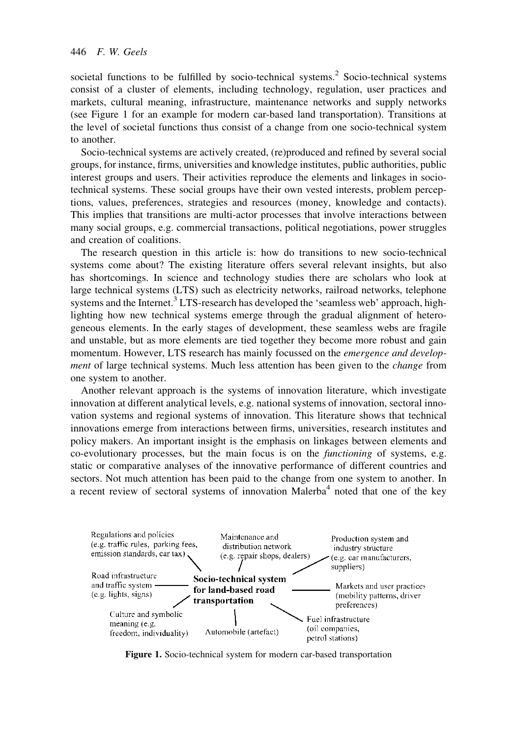societal functions to be fulfilled by socio-technical systems.<sup>2</sup> Socio-technical systems consist of a cluster of elements, including technology, regulation, user practices and markets, cultural meaning, infrastructure, maintenance networks and supply networks (see Figure 1 for an example for modern car-based land transportation). Transitions at the level of societal functions thus consist of a change from one socio-technical system to another.

Socio-technical systems are actively created, (re)produced and refined by several social groups, for instance, firms, universities and knowledge institutes, public authorities, public interest groups and users. Their activities reproduce the elements and linkages in sociotechnical systems. These social groups have their own vested interests, problem perceptions, values, preferences, strategies and resources (money, knowledge and contacts). This implies that transitions are multi-actor processes that involve interactions between many social groups, e.g. commercial transactions, political negotiations, power struggles and creation of coalitions.

The research question in this article is: how do transitions to new socio-technical systems come about? The existing literature offers several relevant insights, but also has shortcomings. In science and technology studies there are scholars who look at large technical systems (LTS) such as electricity networks, railroad networks, telephone systems and the Internet.<sup>3</sup> LTS-research has developed the 'seamless web' approach, highlighting how new technical systems emerge through the gradual alignment of heterogeneous elements. In the early stages of development, these seamless webs are fragile and unstable, but as more elements are tied together they become more robust and gain momentum. However, LTS research has mainly focussed on the *emergence and develop*ment of large technical systems. Much less attention has been given to the *change* from one system to another.

Another relevant approach is the systems of innovation literature, which investigate innovation at different analytical levels, e.g. national systems of innovation, sectoral innovation systems and regional systems of innovation. This literature shows that technical innovations emerge from interactions between firms, universities, research institutes and policy makers. An important insight is the emphasis on linkages between elements and co-evolutionary processes, but the main focus is on the functioning of systems, e.g. static or comparative analyses of the innovative performance of different countries and sectors. Not much attention has been paid to the change from one system to another. In a recent review of sectoral systems of innovation Malerba<sup>4</sup> noted that one of the key



Figure 1. Socio-technical system for modern car-based transportation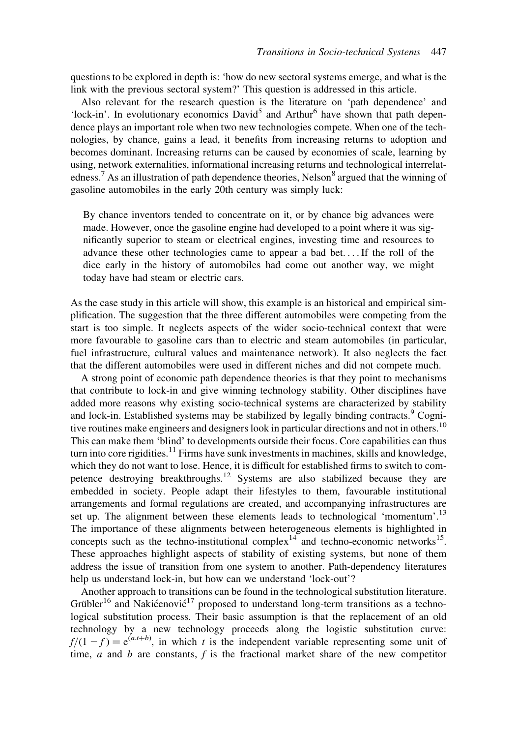questions to be explored in depth is: 'how do new sectoral systems emerge, and what is the link with the previous sectoral system?' This question is addressed in this article.

Also relevant for the research question is the literature on 'path dependence' and 'lock-in'. In evolutionary economics  $David<sup>5</sup>$  and Arthur<sup>6</sup> have shown that path dependence plays an important role when two new technologies compete. When one of the technologies, by chance, gains a lead, it benefits from increasing returns to adoption and becomes dominant. Increasing returns can be caused by economies of scale, learning by using, network externalities, informational increasing returns and technological interrelatedness.<sup>7</sup> As an illustration of path dependence theories, Nelson<sup>8</sup> argued that the winning of gasoline automobiles in the early 20th century was simply luck:

By chance inventors tended to concentrate on it, or by chance big advances were made. However, once the gasoline engine had developed to a point where it was significantly superior to steam or electrical engines, investing time and resources to advance these other technologies came to appear a bad bet. ... If the roll of the dice early in the history of automobiles had come out another way, we might today have had steam or electric cars.

As the case study in this article will show, this example is an historical and empirical simplification. The suggestion that the three different automobiles were competing from the start is too simple. It neglects aspects of the wider socio-technical context that were more favourable to gasoline cars than to electric and steam automobiles (in particular, fuel infrastructure, cultural values and maintenance network). It also neglects the fact that the different automobiles were used in different niches and did not compete much.

A strong point of economic path dependence theories is that they point to mechanisms that contribute to lock-in and give winning technology stability. Other disciplines have added more reasons why existing socio-technical systems are characterized by stability and lock-in. Established systems may be stabilized by legally binding contracts.<sup>9</sup> Cognitive routines make engineers and designers look in particular directions and not in others.<sup>10</sup> This can make them 'blind' to developments outside their focus. Core capabilities can thus turn into core rigidities.<sup>11</sup> Firms have sunk investments in machines, skills and knowledge, which they do not want to lose. Hence, it is difficult for established firms to switch to competence destroying breakthroughs.<sup>12</sup> Systems are also stabilized because they are embedded in society. People adapt their lifestyles to them, favourable institutional arrangements and formal regulations are created, and accompanying infrastructures are set up. The alignment between these elements leads to technological 'momentum'.<sup>13</sup> The importance of these alignments between heterogeneous elements is highlighted in concepts such as the techno-institutional complex<sup>14</sup> and techno-economic networks<sup>15</sup>. These approaches highlight aspects of stability of existing systems, but none of them address the issue of transition from one system to another. Path-dependency literatures help us understand lock-in, but how can we understand 'lock-out'?

Another approach to transitions can be found in the technological substitution literature. Grübler<sup>16</sup> and Nakićenović<sup>17</sup> proposed to understand long-term transitions as a technological substitution process. Their basic assumption is that the replacement of an old technology by a new technology proceeds along the logistic substitution curve:  $f/(1-f) = e^{(a.t+b)}$ , in which t is the independent variable representing some unit of time,  $a$  and  $b$  are constants,  $f$  is the fractional market share of the new competitor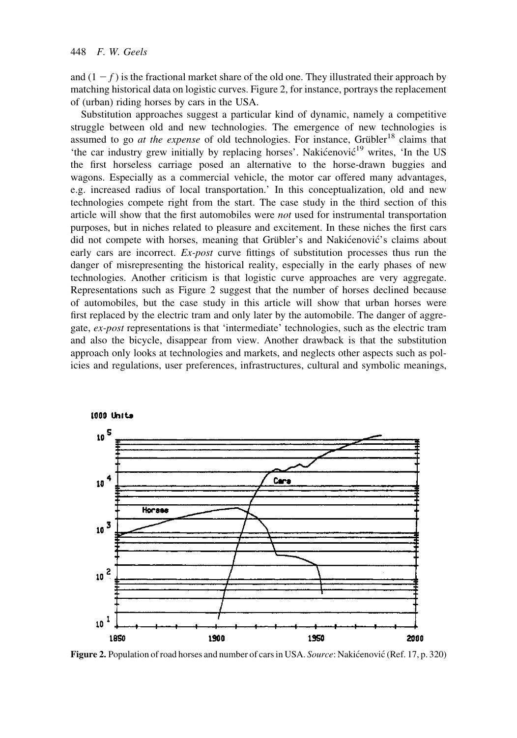and  $(1 - f)$  is the fractional market share of the old one. They illustrated their approach by matching historical data on logistic curves. Figure 2, for instance, portrays the replacement of (urban) riding horses by cars in the USA.

Substitution approaches suggest a particular kind of dynamic, namely a competitive struggle between old and new technologies. The emergence of new technologies is assumed to go *at the expense* of old technologies. For instance, Grübler<sup>18</sup> claims that 'the car industry grew initially by replacing horses'. Nakićenović<sup>19</sup> writes, 'In the US the first horseless carriage posed an alternative to the horse-drawn buggies and wagons. Especially as a commercial vehicle, the motor car offered many advantages, e.g. increased radius of local transportation.' In this conceptualization, old and new technologies compete right from the start. The case study in the third section of this article will show that the first automobiles were not used for instrumental transportation purposes, but in niches related to pleasure and excitement. In these niches the first cars did not compete with horses, meaning that Grübler's and Nakic´enovic's claims about early cars are incorrect. Ex-post curve fittings of substitution processes thus run the danger of misrepresenting the historical reality, especially in the early phases of new technologies. Another criticism is that logistic curve approaches are very aggregate. Representations such as Figure 2 suggest that the number of horses declined because of automobiles, but the case study in this article will show that urban horses were first replaced by the electric tram and only later by the automobile. The danger of aggregate, ex-post representations is that 'intermediate' technologies, such as the electric tram and also the bicycle, disappear from view. Another drawback is that the substitution approach only looks at technologies and markets, and neglects other aspects such as policies and regulations, user preferences, infrastructures, cultural and symbolic meanings,



Figure 2. Population of road horses and number of cars in USA. Source: Nakićenović (Ref. 17, p. 320)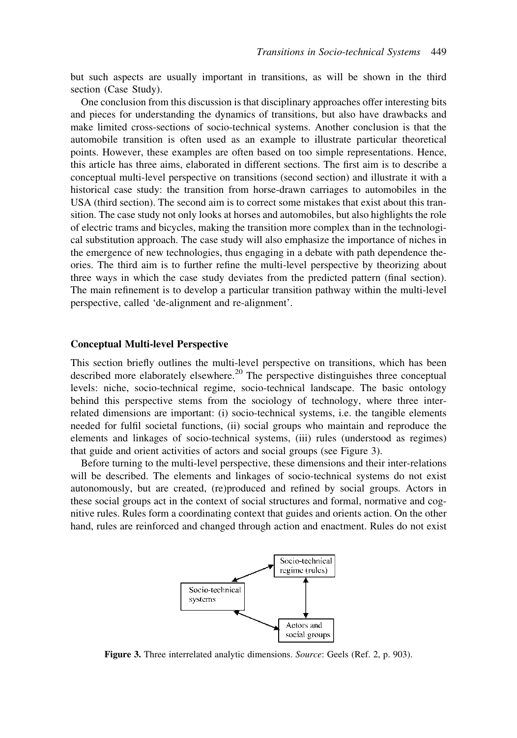but such aspects are usually important in transitions, as will be shown in the third section (Case Study).

One conclusion from this discussion is that disciplinary approaches offer interesting bits and pieces for understanding the dynamics of transitions, but also have drawbacks and make limited cross-sections of socio-technical systems. Another conclusion is that the automobile transition is often used as an example to illustrate particular theoretical points. However, these examples are often based on too simple representations. Hence, this article has three aims, elaborated in different sections. The first aim is to describe a conceptual multi-level perspective on transitions (second section) and illustrate it with a historical case study: the transition from horse-drawn carriages to automobiles in the USA (third section). The second aim is to correct some mistakes that exist about this transition. The case study not only looks at horses and automobiles, but also highlights the role of electric trams and bicycles, making the transition more complex than in the technological substitution approach. The case study will also emphasize the importance of niches in the emergence of new technologies, thus engaging in a debate with path dependence theories. The third aim is to further refine the multi-level perspective by theorizing about three ways in which the case study deviates from the predicted pattern (final section). The main refinement is to develop a particular transition pathway within the multi-level perspective, called 'de-alignment and re-alignment'.

#### Conceptual Multi-level Perspective

This section briefly outlines the multi-level perspective on transitions, which has been described more elaborately elsewhere.<sup>20</sup> The perspective distinguishes three conceptual levels: niche, socio-technical regime, socio-technical landscape. The basic ontology behind this perspective stems from the sociology of technology, where three interrelated dimensions are important: (i) socio-technical systems, i.e. the tangible elements needed for fulfil societal functions, (ii) social groups who maintain and reproduce the elements and linkages of socio-technical systems, (iii) rules (understood as regimes) that guide and orient activities of actors and social groups (see Figure 3).

Before turning to the multi-level perspective, these dimensions and their inter-relations will be described. The elements and linkages of socio-technical systems do not exist autonomously, but are created, (re)produced and refined by social groups. Actors in these social groups act in the context of social structures and formal, normative and cognitive rules. Rules form a coordinating context that guides and orients action. On the other hand, rules are reinforced and changed through action and enactment. Rules do not exist



Figure 3. Three interrelated analytic dimensions. Source: Geels (Ref. 2, p. 903).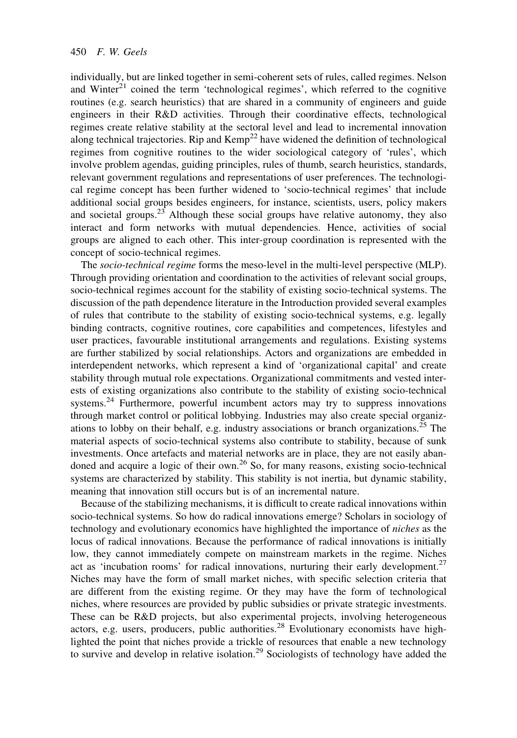individually, but are linked together in semi-coherent sets of rules, called regimes. Nelson and Winter $21$  coined the term 'technological regimes', which referred to the cognitive routines (e.g. search heuristics) that are shared in a community of engineers and guide engineers in their R&D activities. Through their coordinative effects, technological regimes create relative stability at the sectoral level and lead to incremental innovation along technical trajectories. Rip and  $Kemp<sup>22</sup>$  have widened the definition of technological regimes from cognitive routines to the wider sociological category of 'rules', which involve problem agendas, guiding principles, rules of thumb, search heuristics, standards, relevant government regulations and representations of user preferences. The technological regime concept has been further widened to 'socio-technical regimes' that include additional social groups besides engineers, for instance, scientists, users, policy makers and societal groups.<sup>23</sup> Although these social groups have relative autonomy, they also interact and form networks with mutual dependencies. Hence, activities of social groups are aligned to each other. This inter-group coordination is represented with the concept of socio-technical regimes.

The socio-technical regime forms the meso-level in the multi-level perspective (MLP). Through providing orientation and coordination to the activities of relevant social groups, socio-technical regimes account for the stability of existing socio-technical systems. The discussion of the path dependence literature in the Introduction provided several examples of rules that contribute to the stability of existing socio-technical systems, e.g. legally binding contracts, cognitive routines, core capabilities and competences, lifestyles and user practices, favourable institutional arrangements and regulations. Existing systems are further stabilized by social relationships. Actors and organizations are embedded in interdependent networks, which represent a kind of 'organizational capital' and create stability through mutual role expectations. Organizational commitments and vested interests of existing organizations also contribute to the stability of existing socio-technical systems.<sup>24</sup> Furthermore, powerful incumbent actors may try to suppress innovations through market control or political lobbying. Industries may also create special organizations to lobby on their behalf, e.g. industry associations or branch organizations.<sup>25</sup> The material aspects of socio-technical systems also contribute to stability, because of sunk investments. Once artefacts and material networks are in place, they are not easily abandoned and acquire a logic of their own.<sup>26</sup> So, for many reasons, existing socio-technical systems are characterized by stability. This stability is not inertia, but dynamic stability, meaning that innovation still occurs but is of an incremental nature.

Because of the stabilizing mechanisms, it is difficult to create radical innovations within socio-technical systems. So how do radical innovations emerge? Scholars in sociology of technology and evolutionary economics have highlighted the importance of niches as the locus of radical innovations. Because the performance of radical innovations is initially low, they cannot immediately compete on mainstream markets in the regime. Niches act as 'incubation rooms' for radical innovations, nurturing their early development.<sup>27</sup> Niches may have the form of small market niches, with specific selection criteria that are different from the existing regime. Or they may have the form of technological niches, where resources are provided by public subsidies or private strategic investments. These can be R&D projects, but also experimental projects, involving heterogeneous actors, e.g. users, producers, public authorities.<sup>28</sup> Evolutionary economists have highlighted the point that niches provide a trickle of resources that enable a new technology to survive and develop in relative isolation.<sup>29</sup> Sociologists of technology have added the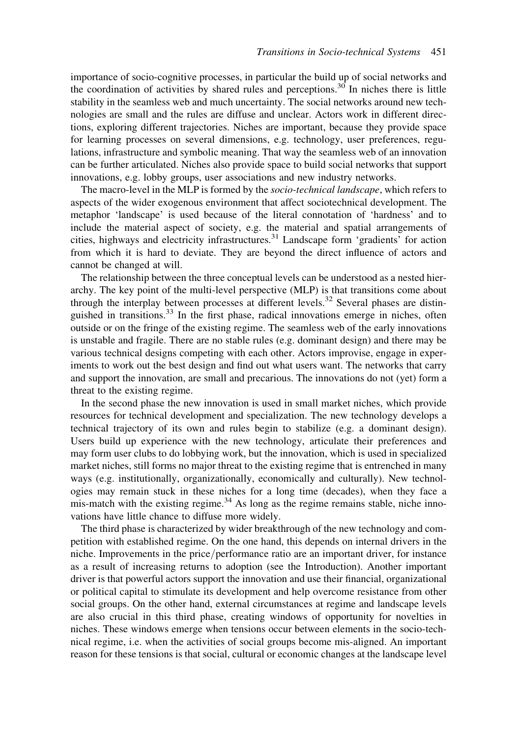importance of socio-cognitive processes, in particular the build up of social networks and the coordination of activities by shared rules and perceptions.<sup>30</sup> In niches there is little stability in the seamless web and much uncertainty. The social networks around new technologies are small and the rules are diffuse and unclear. Actors work in different directions, exploring different trajectories. Niches are important, because they provide space for learning processes on several dimensions, e.g. technology, user preferences, regulations, infrastructure and symbolic meaning. That way the seamless web of an innovation can be further articulated. Niches also provide space to build social networks that support innovations, e.g. lobby groups, user associations and new industry networks.

The macro-level in the MLP is formed by the socio-technical landscape, which refers to aspects of the wider exogenous environment that affect sociotechnical development. The metaphor 'landscape' is used because of the literal connotation of 'hardness' and to include the material aspect of society, e.g. the material and spatial arrangements of cities, highways and electricity infrastructures.<sup>31</sup> Landscape form 'gradients' for action from which it is hard to deviate. They are beyond the direct influence of actors and cannot be changed at will.

The relationship between the three conceptual levels can be understood as a nested hierarchy. The key point of the multi-level perspective (MLP) is that transitions come about through the interplay between processes at different levels.<sup>32</sup> Several phases are distinguished in transitions.<sup>33</sup> In the first phase, radical innovations emerge in niches, often outside or on the fringe of the existing regime. The seamless web of the early innovations is unstable and fragile. There are no stable rules (e.g. dominant design) and there may be various technical designs competing with each other. Actors improvise, engage in experiments to work out the best design and find out what users want. The networks that carry and support the innovation, are small and precarious. The innovations do not (yet) form a threat to the existing regime.

In the second phase the new innovation is used in small market niches, which provide resources for technical development and specialization. The new technology develops a technical trajectory of its own and rules begin to stabilize (e.g. a dominant design). Users build up experience with the new technology, articulate their preferences and may form user clubs to do lobbying work, but the innovation, which is used in specialized market niches, still forms no major threat to the existing regime that is entrenched in many ways (e.g. institutionally, organizationally, economically and culturally). New technologies may remain stuck in these niches for a long time (decades), when they face a mis-match with the existing regime.<sup>34</sup> As long as the regime remains stable, niche innovations have little chance to diffuse more widely.

The third phase is characterized by wider breakthrough of the new technology and competition with established regime. On the one hand, this depends on internal drivers in the niche. Improvements in the price/performance ratio are an important driver, for instance as a result of increasing returns to adoption (see the Introduction). Another important driver is that powerful actors support the innovation and use their financial, organizational or political capital to stimulate its development and help overcome resistance from other social groups. On the other hand, external circumstances at regime and landscape levels are also crucial in this third phase, creating windows of opportunity for novelties in niches. These windows emerge when tensions occur between elements in the socio-technical regime, i.e. when the activities of social groups become mis-aligned. An important reason for these tensions is that social, cultural or economic changes at the landscape level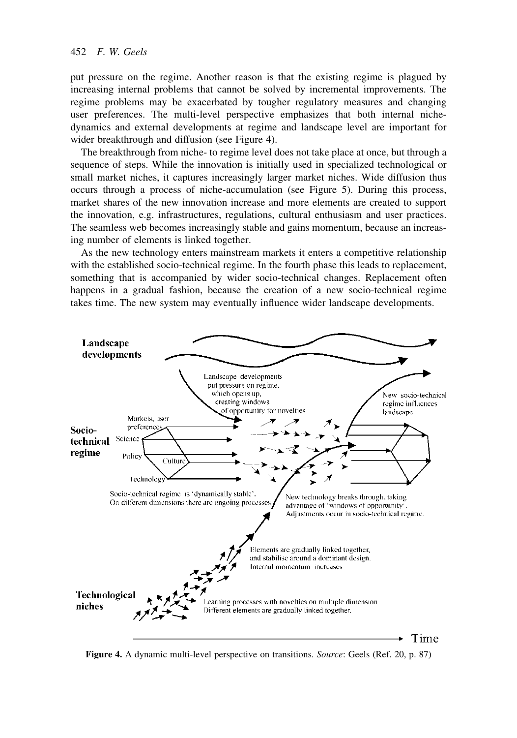put pressure on the regime. Another reason is that the existing regime is plagued by increasing internal problems that cannot be solved by incremental improvements. The regime problems may be exacerbated by tougher regulatory measures and changing user preferences. The multi-level perspective emphasizes that both internal nichedynamics and external developments at regime and landscape level are important for wider breakthrough and diffusion (see Figure 4).

The breakthrough from niche- to regime level does not take place at once, but through a sequence of steps. While the innovation is initially used in specialized technological or small market niches, it captures increasingly larger market niches. Wide diffusion thus occurs through a process of niche-accumulation (see Figure 5). During this process, market shares of the new innovation increase and more elements are created to support the innovation, e.g. infrastructures, regulations, cultural enthusiasm and user practices. The seamless web becomes increasingly stable and gains momentum, because an increasing number of elements is linked together.

As the new technology enters mainstream markets it enters a competitive relationship with the established socio-technical regime. In the fourth phase this leads to replacement, something that is accompanied by wider socio-technical changes. Replacement often happens in a gradual fashion, because the creation of a new socio-technical regime takes time. The new system may eventually influence wider landscape developments.



Figure 4. A dynamic multi-level perspective on transitions. Source: Geels (Ref. 20, p. 87)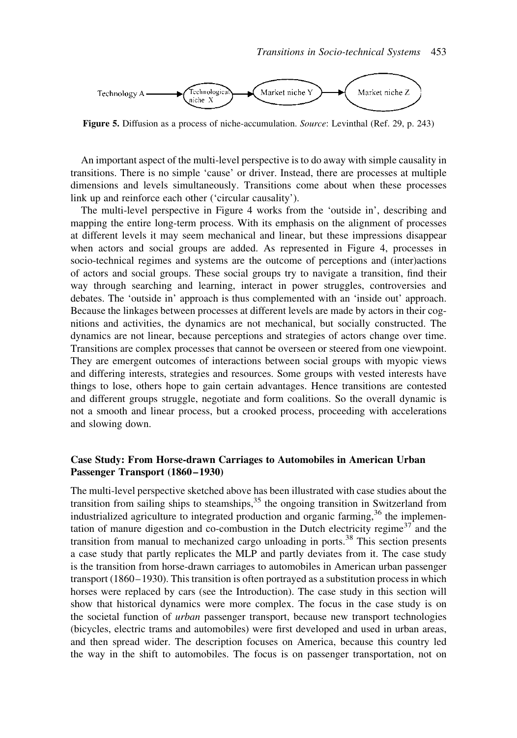

Figure 5. Diffusion as a process of niche-accumulation. Source: Levinthal (Ref. 29, p. 243)

An important aspect of the multi-level perspective is to do away with simple causality in transitions. There is no simple 'cause' or driver. Instead, there are processes at multiple dimensions and levels simultaneously. Transitions come about when these processes link up and reinforce each other ('circular causality').

The multi-level perspective in Figure 4 works from the 'outside in', describing and mapping the entire long-term process. With its emphasis on the alignment of processes at different levels it may seem mechanical and linear, but these impressions disappear when actors and social groups are added. As represented in Figure 4, processes in socio-technical regimes and systems are the outcome of perceptions and (inter)actions of actors and social groups. These social groups try to navigate a transition, find their way through searching and learning, interact in power struggles, controversies and debates. The 'outside in' approach is thus complemented with an 'inside out' approach. Because the linkages between processes at different levels are made by actors in their cognitions and activities, the dynamics are not mechanical, but socially constructed. The dynamics are not linear, because perceptions and strategies of actors change over time. Transitions are complex processes that cannot be overseen or steered from one viewpoint. They are emergent outcomes of interactions between social groups with myopic views and differing interests, strategies and resources. Some groups with vested interests have things to lose, others hope to gain certain advantages. Hence transitions are contested and different groups struggle, negotiate and form coalitions. So the overall dynamic is not a smooth and linear process, but a crooked process, proceeding with accelerations and slowing down.

## Case Study: From Horse-drawn Carriages to Automobiles in American Urban Passenger Transport (1860–1930)

The multi-level perspective sketched above has been illustrated with case studies about the transition from sailing ships to steamships,  $35$  the ongoing transition in Switzerland from industrialized agriculture to integrated production and organic farming,  $36$  the implementation of manure digestion and co-combustion in the Dutch electricity regime<sup>37</sup> and the transition from manual to mechanized cargo unloading in ports.<sup>38</sup> This section presents a case study that partly replicates the MLP and partly deviates from it. The case study is the transition from horse-drawn carriages to automobiles in American urban passenger transport (1860–1930). This transition is often portrayed as a substitution process in which horses were replaced by cars (see the Introduction). The case study in this section will show that historical dynamics were more complex. The focus in the case study is on the societal function of *urban* passenger transport, because new transport technologies (bicycles, electric trams and automobiles) were first developed and used in urban areas, and then spread wider. The description focuses on America, because this country led the way in the shift to automobiles. The focus is on passenger transportation, not on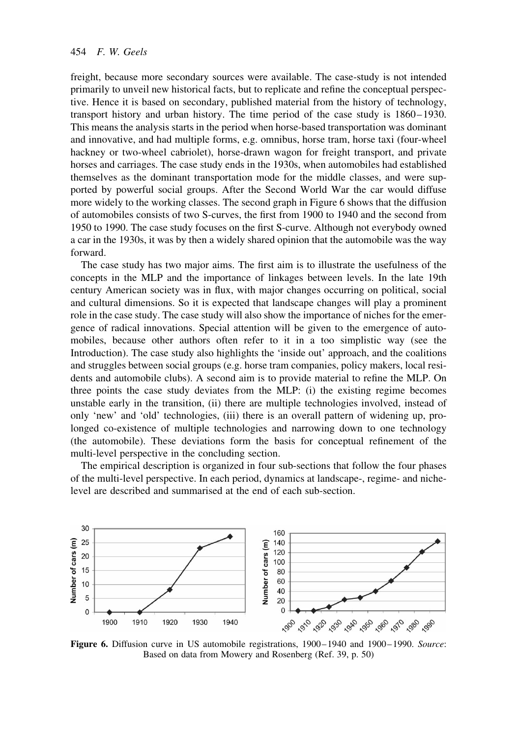freight, because more secondary sources were available. The case-study is not intended primarily to unveil new historical facts, but to replicate and refine the conceptual perspective. Hence it is based on secondary, published material from the history of technology, transport history and urban history. The time period of the case study is 1860– 1930. This means the analysis starts in the period when horse-based transportation was dominant and innovative, and had multiple forms, e.g. omnibus, horse tram, horse taxi (four-wheel hackney or two-wheel cabriolet), horse-drawn wagon for freight transport, and private horses and carriages. The case study ends in the 1930s, when automobiles had established themselves as the dominant transportation mode for the middle classes, and were supported by powerful social groups. After the Second World War the car would diffuse more widely to the working classes. The second graph in Figure 6 shows that the diffusion of automobiles consists of two S-curves, the first from 1900 to 1940 and the second from 1950 to 1990. The case study focuses on the first S-curve. Although not everybody owned a car in the 1930s, it was by then a widely shared opinion that the automobile was the way forward.

The case study has two major aims. The first aim is to illustrate the usefulness of the concepts in the MLP and the importance of linkages between levels. In the late 19th century American society was in flux, with major changes occurring on political, social and cultural dimensions. So it is expected that landscape changes will play a prominent role in the case study. The case study will also show the importance of niches for the emergence of radical innovations. Special attention will be given to the emergence of automobiles, because other authors often refer to it in a too simplistic way (see the Introduction). The case study also highlights the 'inside out' approach, and the coalitions and struggles between social groups (e.g. horse tram companies, policy makers, local residents and automobile clubs). A second aim is to provide material to refine the MLP. On three points the case study deviates from the MLP: (i) the existing regime becomes unstable early in the transition, (ii) there are multiple technologies involved, instead of only 'new' and 'old' technologies, (iii) there is an overall pattern of widening up, prolonged co-existence of multiple technologies and narrowing down to one technology (the automobile). These deviations form the basis for conceptual refinement of the multi-level perspective in the concluding section.

The empirical description is organized in four sub-sections that follow the four phases of the multi-level perspective. In each period, dynamics at landscape-, regime- and nichelevel are described and summarised at the end of each sub-section.



Figure 6. Diffusion curve in US automobile registrations, 1900–1940 and 1900–1990. Source: Based on data from Mowery and Rosenberg (Ref. 39, p. 50)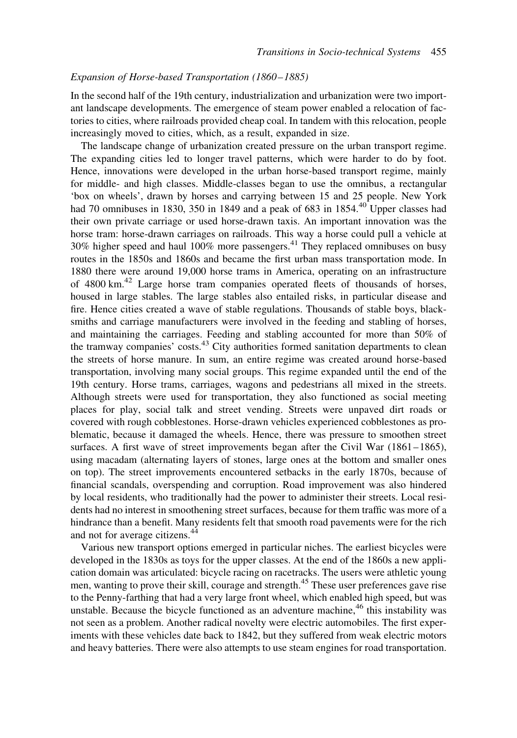#### Expansion of Horse-based Transportation (1860–1885)

In the second half of the 19th century, industrialization and urbanization were two important landscape developments. The emergence of steam power enabled a relocation of factories to cities, where railroads provided cheap coal. In tandem with this relocation, people increasingly moved to cities, which, as a result, expanded in size.

The landscape change of urbanization created pressure on the urban transport regime. The expanding cities led to longer travel patterns, which were harder to do by foot. Hence, innovations were developed in the urban horse-based transport regime, mainly for middle- and high classes. Middle-classes began to use the omnibus, a rectangular 'box on wheels', drawn by horses and carrying between 15 and 25 people. New York had 70 omnibuses in 1830, 350 in 1849 and a peak of 683 in  $1854.<sup>40</sup>$  Upper classes had their own private carriage or used horse-drawn taxis. An important innovation was the horse tram: horse-drawn carriages on railroads. This way a horse could pull a vehicle at 30% higher speed and haul 100% more passengers.<sup>41</sup> They replaced omnibuses on busy routes in the 1850s and 1860s and became the first urban mass transportation mode. In 1880 there were around 19,000 horse trams in America, operating on an infrastructure of  $4800 \text{ km}^{42}$  Large horse tram companies operated fleets of thousands of horses, housed in large stables. The large stables also entailed risks, in particular disease and fire. Hence cities created a wave of stable regulations. Thousands of stable boys, blacksmiths and carriage manufacturers were involved in the feeding and stabling of horses, and maintaining the carriages. Feeding and stabling accounted for more than 50% of the tramway companies' costs. $43$  City authorities formed sanitation departments to clean the streets of horse manure. In sum, an entire regime was created around horse-based transportation, involving many social groups. This regime expanded until the end of the 19th century. Horse trams, carriages, wagons and pedestrians all mixed in the streets. Although streets were used for transportation, they also functioned as social meeting places for play, social talk and street vending. Streets were unpaved dirt roads or covered with rough cobblestones. Horse-drawn vehicles experienced cobblestones as problematic, because it damaged the wheels. Hence, there was pressure to smoothen street surfaces. A first wave of street improvements began after the Civil War (1861–1865), using macadam (alternating layers of stones, large ones at the bottom and smaller ones on top). The street improvements encountered setbacks in the early 1870s, because of financial scandals, overspending and corruption. Road improvement was also hindered by local residents, who traditionally had the power to administer their streets. Local residents had no interest in smoothening street surfaces, because for them traffic was more of a hindrance than a benefit. Many residents felt that smooth road pavements were for the rich and not for average citizens.<sup>44</sup>

Various new transport options emerged in particular niches. The earliest bicycles were developed in the 1830s as toys for the upper classes. At the end of the 1860s a new application domain was articulated: bicycle racing on racetracks. The users were athletic young men, wanting to prove their skill, courage and strength.<sup>45</sup> These user preferences gave rise to the Penny-farthing that had a very large front wheel, which enabled high speed, but was unstable. Because the bicycle functioned as an adventure machine,<sup>46</sup> this instability was not seen as a problem. Another radical novelty were electric automobiles. The first experiments with these vehicles date back to 1842, but they suffered from weak electric motors and heavy batteries. There were also attempts to use steam engines for road transportation.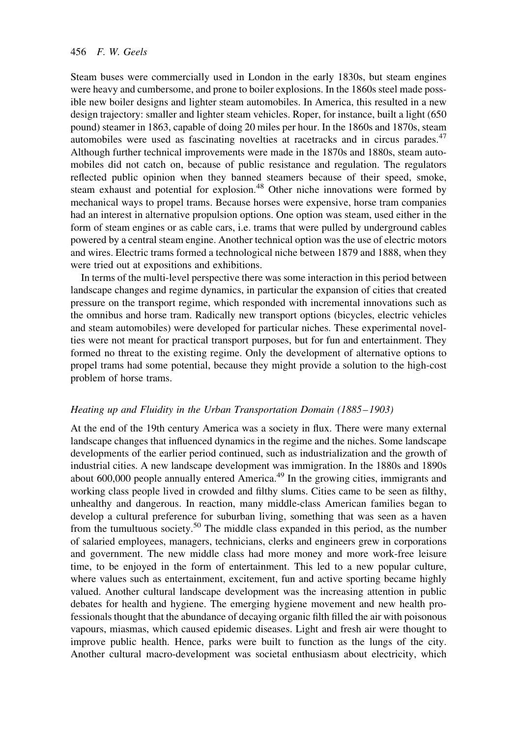Steam buses were commercially used in London in the early 1830s, but steam engines were heavy and cumbersome, and prone to boiler explosions. In the 1860s steel made possible new boiler designs and lighter steam automobiles. In America, this resulted in a new design trajectory: smaller and lighter steam vehicles. Roper, for instance, built a light (650 pound) steamer in 1863, capable of doing 20 miles per hour. In the 1860s and 1870s, steam automobiles were used as fascinating novelties at racetracks and in circus parades. $47$ Although further technical improvements were made in the 1870s and 1880s, steam automobiles did not catch on, because of public resistance and regulation. The regulators reflected public opinion when they banned steamers because of their speed, smoke, steam exhaust and potential for explosion.<sup>48</sup> Other niche innovations were formed by mechanical ways to propel trams. Because horses were expensive, horse tram companies had an interest in alternative propulsion options. One option was steam, used either in the form of steam engines or as cable cars, i.e. trams that were pulled by underground cables powered by a central steam engine. Another technical option was the use of electric motors and wires. Electric trams formed a technological niche between 1879 and 1888, when they were tried out at expositions and exhibitions.

In terms of the multi-level perspective there was some interaction in this period between landscape changes and regime dynamics, in particular the expansion of cities that created pressure on the transport regime, which responded with incremental innovations such as the omnibus and horse tram. Radically new transport options (bicycles, electric vehicles and steam automobiles) were developed for particular niches. These experimental novelties were not meant for practical transport purposes, but for fun and entertainment. They formed no threat to the existing regime. Only the development of alternative options to propel trams had some potential, because they might provide a solution to the high-cost problem of horse trams.

#### Heating up and Fluidity in the Urban Transportation Domain (1885 – 1903)

At the end of the 19th century America was a society in flux. There were many external landscape changes that influenced dynamics in the regime and the niches. Some landscape developments of the earlier period continued, such as industrialization and the growth of industrial cities. A new landscape development was immigration. In the 1880s and 1890s about 600,000 people annually entered America.<sup>49</sup> In the growing cities, immigrants and working class people lived in crowded and filthy slums. Cities came to be seen as filthy, unhealthy and dangerous. In reaction, many middle-class American families began to develop a cultural preference for suburban living, something that was seen as a haven from the tumultuous society.<sup>50</sup> The middle class expanded in this period, as the number of salaried employees, managers, technicians, clerks and engineers grew in corporations and government. The new middle class had more money and more work-free leisure time, to be enjoyed in the form of entertainment. This led to a new popular culture, where values such as entertainment, excitement, fun and active sporting became highly valued. Another cultural landscape development was the increasing attention in public debates for health and hygiene. The emerging hygiene movement and new health professionals thought that the abundance of decaying organic filth filled the air with poisonous vapours, miasmas, which caused epidemic diseases. Light and fresh air were thought to improve public health. Hence, parks were built to function as the lungs of the city. Another cultural macro-development was societal enthusiasm about electricity, which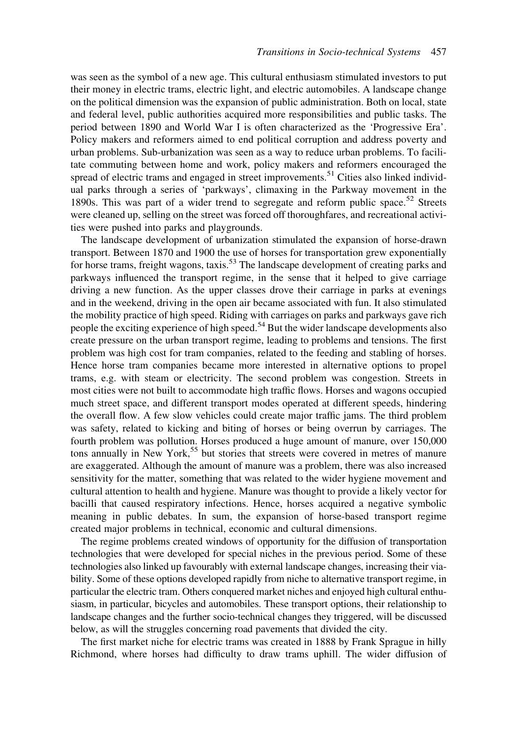was seen as the symbol of a new age. This cultural enthusiasm stimulated investors to put their money in electric trams, electric light, and electric automobiles. A landscape change on the political dimension was the expansion of public administration. Both on local, state and federal level, public authorities acquired more responsibilities and public tasks. The period between 1890 and World War I is often characterized as the 'Progressive Era'. Policy makers and reformers aimed to end political corruption and address poverty and urban problems. Sub-urbanization was seen as a way to reduce urban problems. To facilitate commuting between home and work, policy makers and reformers encouraged the spread of electric trams and engaged in street improvements.<sup>51</sup> Cities also linked individual parks through a series of 'parkways', climaxing in the Parkway movement in the 1890s. This was part of a wider trend to segregate and reform public space.<sup>52</sup> Streets were cleaned up, selling on the street was forced off thoroughfares, and recreational activities were pushed into parks and playgrounds.

The landscape development of urbanization stimulated the expansion of horse-drawn transport. Between 1870 and 1900 the use of horses for transportation grew exponentially for horse trams, freight wagons, taxis.<sup>53</sup> The landscape development of creating parks and parkways influenced the transport regime, in the sense that it helped to give carriage driving a new function. As the upper classes drove their carriage in parks at evenings and in the weekend, driving in the open air became associated with fun. It also stimulated the mobility practice of high speed. Riding with carriages on parks and parkways gave rich people the exciting experience of high speed.<sup>54</sup> But the wider landscape developments also create pressure on the urban transport regime, leading to problems and tensions. The first problem was high cost for tram companies, related to the feeding and stabling of horses. Hence horse tram companies became more interested in alternative options to propel trams, e.g. with steam or electricity. The second problem was congestion. Streets in most cities were not built to accommodate high traffic flows. Horses and wagons occupied much street space, and different transport modes operated at different speeds, hindering the overall flow. A few slow vehicles could create major traffic jams. The third problem was safety, related to kicking and biting of horses or being overrun by carriages. The fourth problem was pollution. Horses produced a huge amount of manure, over 150,000 tons annually in New York,<sup>55</sup> but stories that streets were covered in metres of manure are exaggerated. Although the amount of manure was a problem, there was also increased sensitivity for the matter, something that was related to the wider hygiene movement and cultural attention to health and hygiene. Manure was thought to provide a likely vector for bacilli that caused respiratory infections. Hence, horses acquired a negative symbolic meaning in public debates. In sum, the expansion of horse-based transport regime created major problems in technical, economic and cultural dimensions.

The regime problems created windows of opportunity for the diffusion of transportation technologies that were developed for special niches in the previous period. Some of these technologies also linked up favourably with external landscape changes, increasing their viability. Some of these options developed rapidly from niche to alternative transport regime, in particular the electric tram. Others conquered market niches and enjoyed high cultural enthusiasm, in particular, bicycles and automobiles. These transport options, their relationship to landscape changes and the further socio-technical changes they triggered, will be discussed below, as will the struggles concerning road pavements that divided the city.

The first market niche for electric trams was created in 1888 by Frank Sprague in hilly Richmond, where horses had difficulty to draw trams uphill. The wider diffusion of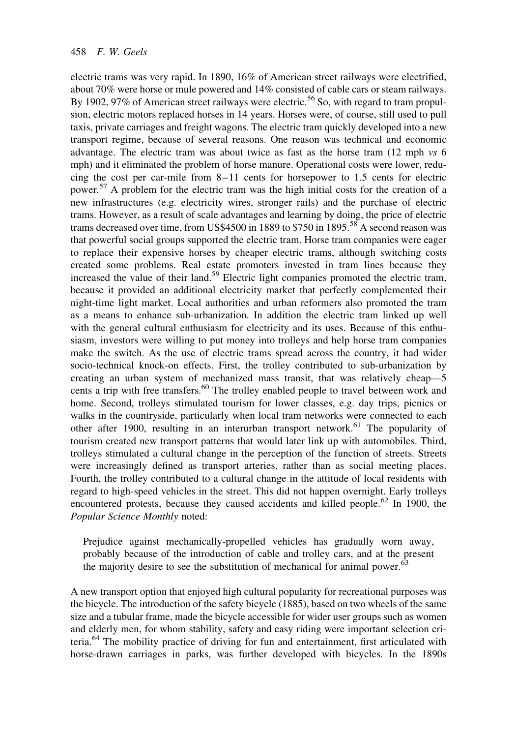electric trams was very rapid. In 1890, 16% of American street railways were electrified, about 70% were horse or mule powered and 14% consisted of cable cars or steam railways. By 1902, 97% of American street railways were electric.<sup>56</sup> So, with regard to tram propulsion, electric motors replaced horses in 14 years. Horses were, of course, still used to pull taxis, private carriages and freight wagons. The electric tram quickly developed into a new transport regime, because of several reasons. One reason was technical and economic advantage. The electric tram was about twice as fast as the horse tram (12 mph vs 6 mph) and it eliminated the problem of horse manure. Operational costs were lower, reducing the cost per car-mile from 8– 11 cents for horsepower to 1.5 cents for electric power.<sup>57</sup> A problem for the electric tram was the high initial costs for the creation of a new infrastructures (e.g. electricity wires, stronger rails) and the purchase of electric trams. However, as a result of scale advantages and learning by doing, the price of electric trams decreased over time, from US\$4500 in 1889 to \$750 in 1895.<sup>58</sup> A second reason was that powerful social groups supported the electric tram. Horse tram companies were eager to replace their expensive horses by cheaper electric trams, although switching costs created some problems. Real estate promoters invested in tram lines because they increased the value of their land.<sup>59</sup> Electric light companies promoted the electric tram, because it provided an additional electricity market that perfectly complemented their night-time light market. Local authorities and urban reformers also promoted the tram as a means to enhance sub-urbanization. In addition the electric tram linked up well with the general cultural enthusiasm for electricity and its uses. Because of this enthusiasm, investors were willing to put money into trolleys and help horse tram companies make the switch. As the use of electric trams spread across the country, it had wider socio-technical knock-on effects. First, the trolley contributed to sub-urbanization by creating an urban system of mechanized mass transit, that was relatively cheap—5 cents a trip with free transfers.<sup>60</sup> The trolley enabled people to travel between work and home. Second, trolleys stimulated tourism for lower classes, e.g. day trips, picnics or walks in the countryside, particularly when local tram networks were connected to each other after 1900, resulting in an interurban transport network.<sup>61</sup> The popularity of tourism created new transport patterns that would later link up with automobiles. Third, trolleys stimulated a cultural change in the perception of the function of streets. Streets were increasingly defined as transport arteries, rather than as social meeting places. Fourth, the trolley contributed to a cultural change in the attitude of local residents with regard to high-speed vehicles in the street. This did not happen overnight. Early trolleys encountered protests, because they caused accidents and killed people.<sup>62</sup> In 1900, the Popular Science Monthly noted:

Prejudice against mechanically-propelled vehicles has gradually worn away, probably because of the introduction of cable and trolley cars, and at the present the majority desire to see the substitution of mechanical for animal power.<sup>63</sup>

A new transport option that enjoyed high cultural popularity for recreational purposes was the bicycle. The introduction of the safety bicycle (1885), based on two wheels of the same size and a tubular frame, made the bicycle accessible for wider user groups such as women and elderly men, for whom stability, safety and easy riding were important selection criteria.<sup>64</sup> The mobility practice of driving for fun and entertainment, first articulated with horse-drawn carriages in parks, was further developed with bicycles. In the 1890s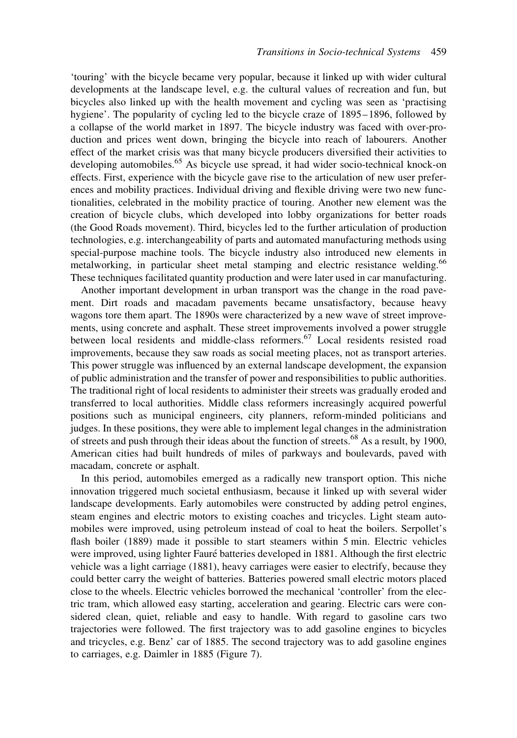'touring' with the bicycle became very popular, because it linked up with wider cultural developments at the landscape level, e.g. the cultural values of recreation and fun, but bicycles also linked up with the health movement and cycling was seen as 'practising hygiene'. The popularity of cycling led to the bicycle craze of 1895– 1896, followed by a collapse of the world market in 1897. The bicycle industry was faced with over-production and prices went down, bringing the bicycle into reach of labourers. Another effect of the market crisis was that many bicycle producers diversified their activities to developing automobiles.<sup>65</sup> As bicycle use spread, it had wider socio-technical knock-on effects. First, experience with the bicycle gave rise to the articulation of new user preferences and mobility practices. Individual driving and flexible driving were two new functionalities, celebrated in the mobility practice of touring. Another new element was the creation of bicycle clubs, which developed into lobby organizations for better roads (the Good Roads movement). Third, bicycles led to the further articulation of production technologies, e.g. interchangeability of parts and automated manufacturing methods using special-purpose machine tools. The bicycle industry also introduced new elements in metalworking, in particular sheet metal stamping and electric resistance welding.<sup>66</sup> These techniques facilitated quantity production and were later used in car manufacturing.

Another important development in urban transport was the change in the road pavement. Dirt roads and macadam pavements became unsatisfactory, because heavy wagons tore them apart. The 1890s were characterized by a new wave of street improvements, using concrete and asphalt. These street improvements involved a power struggle between local residents and middle-class reformers.<sup>67</sup> Local residents resisted road improvements, because they saw roads as social meeting places, not as transport arteries. This power struggle was influenced by an external landscape development, the expansion of public administration and the transfer of power and responsibilities to public authorities. The traditional right of local residents to administer their streets was gradually eroded and transferred to local authorities. Middle class reformers increasingly acquired powerful positions such as municipal engineers, city planners, reform-minded politicians and judges. In these positions, they were able to implement legal changes in the administration of streets and push through their ideas about the function of streets.<sup>68</sup> As a result, by 1900, American cities had built hundreds of miles of parkways and boulevards, paved with macadam, concrete or asphalt.

In this period, automobiles emerged as a radically new transport option. This niche innovation triggered much societal enthusiasm, because it linked up with several wider landscape developments. Early automobiles were constructed by adding petrol engines, steam engines and electric motors to existing coaches and tricycles. Light steam automobiles were improved, using petroleum instead of coal to heat the boilers. Serpollet's flash boiler (1889) made it possible to start steamers within 5 min. Electric vehicles were improved, using lighter Fauré batteries developed in 1881. Although the first electric vehicle was a light carriage (1881), heavy carriages were easier to electrify, because they could better carry the weight of batteries. Batteries powered small electric motors placed close to the wheels. Electric vehicles borrowed the mechanical 'controller' from the electric tram, which allowed easy starting, acceleration and gearing. Electric cars were considered clean, quiet, reliable and easy to handle. With regard to gasoline cars two trajectories were followed. The first trajectory was to add gasoline engines to bicycles and tricycles, e.g. Benz' car of 1885. The second trajectory was to add gasoline engines to carriages, e.g. Daimler in 1885 (Figure 7).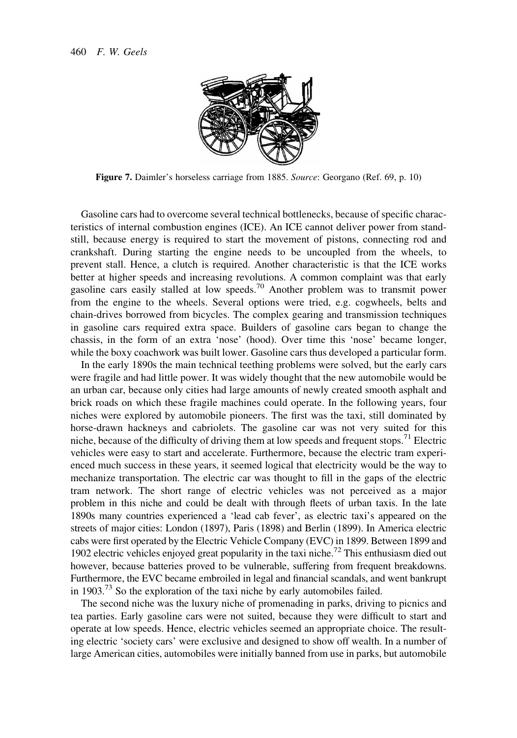

Figure 7. Daimler's horseless carriage from 1885. Source: Georgano (Ref. 69, p. 10)

Gasoline cars had to overcome several technical bottlenecks, because of specific characteristics of internal combustion engines (ICE). An ICE cannot deliver power from standstill, because energy is required to start the movement of pistons, connecting rod and crankshaft. During starting the engine needs to be uncoupled from the wheels, to prevent stall. Hence, a clutch is required. Another characteristic is that the ICE works better at higher speeds and increasing revolutions. A common complaint was that early gasoline cars easily stalled at low speeds.70 Another problem was to transmit power from the engine to the wheels. Several options were tried, e.g. cogwheels, belts and chain-drives borrowed from bicycles. The complex gearing and transmission techniques in gasoline cars required extra space. Builders of gasoline cars began to change the chassis, in the form of an extra 'nose' (hood). Over time this 'nose' became longer, while the boxy coachwork was built lower. Gasoline cars thus developed a particular form.

In the early 1890s the main technical teething problems were solved, but the early cars were fragile and had little power. It was widely thought that the new automobile would be an urban car, because only cities had large amounts of newly created smooth asphalt and brick roads on which these fragile machines could operate. In the following years, four niches were explored by automobile pioneers. The first was the taxi, still dominated by horse-drawn hackneys and cabriolets. The gasoline car was not very suited for this niche, because of the difficulty of driving them at low speeds and frequent stops.<sup>71</sup> Electric vehicles were easy to start and accelerate. Furthermore, because the electric tram experienced much success in these years, it seemed logical that electricity would be the way to mechanize transportation. The electric car was thought to fill in the gaps of the electric tram network. The short range of electric vehicles was not perceived as a major problem in this niche and could be dealt with through fleets of urban taxis. In the late 1890s many countries experienced a 'lead cab fever', as electric taxi's appeared on the streets of major cities: London (1897), Paris (1898) and Berlin (1899). In America electric cabs were first operated by the Electric Vehicle Company (EVC) in 1899. Between 1899 and 1902 electric vehicles enjoyed great popularity in the taxi niche.<sup>72</sup> This enthusiasm died out however, because batteries proved to be vulnerable, suffering from frequent breakdowns. Furthermore, the EVC became embroiled in legal and financial scandals, and went bankrupt in  $1903<sup>73</sup>$  So the exploration of the taxi niche by early automobiles failed.

The second niche was the luxury niche of promenading in parks, driving to picnics and tea parties. Early gasoline cars were not suited, because they were difficult to start and operate at low speeds. Hence, electric vehicles seemed an appropriate choice. The resulting electric 'society cars' were exclusive and designed to show off wealth. In a number of large American cities, automobiles were initially banned from use in parks, but automobile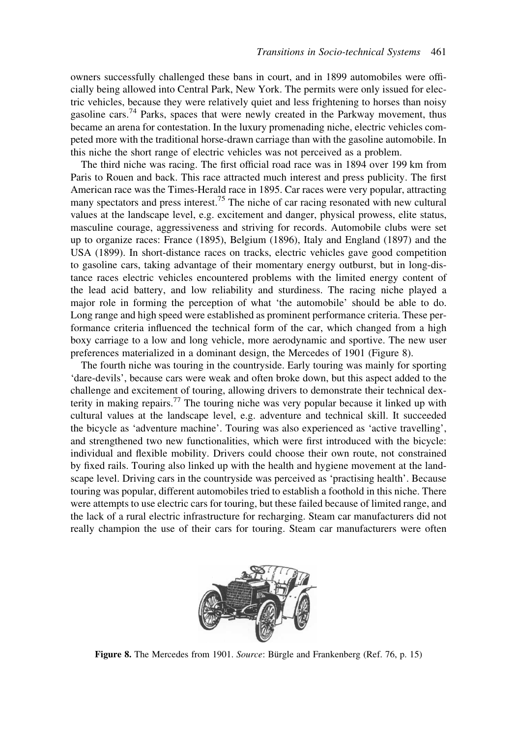owners successfully challenged these bans in court, and in 1899 automobiles were officially being allowed into Central Park, New York. The permits were only issued for electric vehicles, because they were relatively quiet and less frightening to horses than noisy gasoline cars.<sup>74</sup> Parks, spaces that were newly created in the Parkway movement, thus became an arena for contestation. In the luxury promenading niche, electric vehicles competed more with the traditional horse-drawn carriage than with the gasoline automobile. In this niche the short range of electric vehicles was not perceived as a problem.

The third niche was racing. The first official road race was in 1894 over 199 km from Paris to Rouen and back. This race attracted much interest and press publicity. The first American race was the Times-Herald race in 1895. Car races were very popular, attracting many spectators and press interest.<sup>75</sup> The niche of car racing resonated with new cultural values at the landscape level, e.g. excitement and danger, physical prowess, elite status, masculine courage, aggressiveness and striving for records. Automobile clubs were set up to organize races: France (1895), Belgium (1896), Italy and England (1897) and the USA (1899). In short-distance races on tracks, electric vehicles gave good competition to gasoline cars, taking advantage of their momentary energy outburst, but in long-distance races electric vehicles encountered problems with the limited energy content of the lead acid battery, and low reliability and sturdiness. The racing niche played a major role in forming the perception of what 'the automobile' should be able to do. Long range and high speed were established as prominent performance criteria. These performance criteria influenced the technical form of the car, which changed from a high boxy carriage to a low and long vehicle, more aerodynamic and sportive. The new user preferences materialized in a dominant design, the Mercedes of 1901 (Figure 8).

The fourth niche was touring in the countryside. Early touring was mainly for sporting 'dare-devils', because cars were weak and often broke down, but this aspect added to the challenge and excitement of touring, allowing drivers to demonstrate their technical dexterity in making repairs.77 The touring niche was very popular because it linked up with cultural values at the landscape level, e.g. adventure and technical skill. It succeeded the bicycle as 'adventure machine'. Touring was also experienced as 'active travelling', and strengthened two new functionalities, which were first introduced with the bicycle: individual and flexible mobility. Drivers could choose their own route, not constrained by fixed rails. Touring also linked up with the health and hygiene movement at the landscape level. Driving cars in the countryside was perceived as 'practising health'. Because touring was popular, different automobiles tried to establish a foothold in this niche. There were attempts to use electric cars for touring, but these failed because of limited range, and the lack of a rural electric infrastructure for recharging. Steam car manufacturers did not really champion the use of their cars for touring. Steam car manufacturers were often



Figure 8. The Mercedes from 1901. Source: Bürgle and Frankenberg (Ref. 76, p. 15)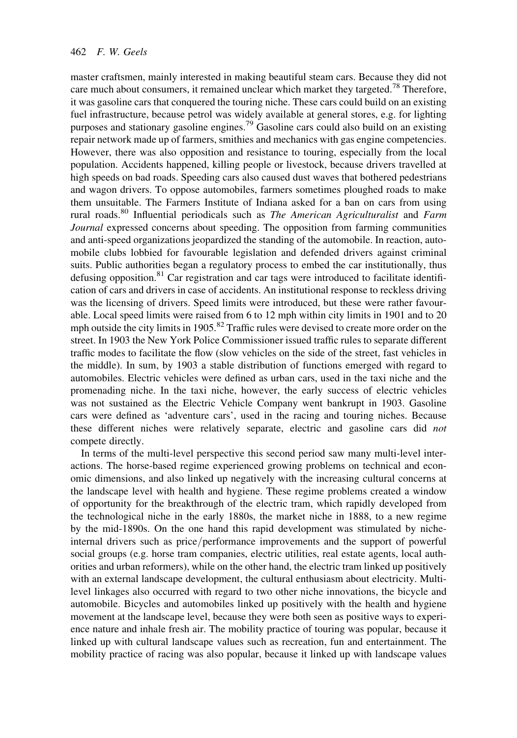master craftsmen, mainly interested in making beautiful steam cars. Because they did not care much about consumers, it remained unclear which market they targeted.<sup>78</sup> Therefore, it was gasoline cars that conquered the touring niche. These cars could build on an existing fuel infrastructure, because petrol was widely available at general stores, e.g. for lighting purposes and stationary gasoline engines.79 Gasoline cars could also build on an existing repair network made up of farmers, smithies and mechanics with gas engine competencies. However, there was also opposition and resistance to touring, especially from the local population. Accidents happened, killing people or livestock, because drivers travelled at high speeds on bad roads. Speeding cars also caused dust waves that bothered pedestrians and wagon drivers. To oppose automobiles, farmers sometimes ploughed roads to make them unsuitable. The Farmers Institute of Indiana asked for a ban on cars from using rural roads.<sup>80</sup> Influential periodicals such as *The American Agriculturalist* and *Farm* Journal expressed concerns about speeding. The opposition from farming communities and anti-speed organizations jeopardized the standing of the automobile. In reaction, automobile clubs lobbied for favourable legislation and defended drivers against criminal suits. Public authorities began a regulatory process to embed the car institutionally, thus defusing opposition.<sup>81</sup> Car registration and car tags were introduced to facilitate identification of cars and drivers in case of accidents. An institutional response to reckless driving was the licensing of drivers. Speed limits were introduced, but these were rather favourable. Local speed limits were raised from 6 to 12 mph within city limits in 1901 and to 20 mph outside the city limits in 1905.<sup>82</sup> Traffic rules were devised to create more order on the street. In 1903 the New York Police Commissioner issued traffic rules to separate different traffic modes to facilitate the flow (slow vehicles on the side of the street, fast vehicles in the middle). In sum, by 1903 a stable distribution of functions emerged with regard to automobiles. Electric vehicles were defined as urban cars, used in the taxi niche and the promenading niche. In the taxi niche, however, the early success of electric vehicles was not sustained as the Electric Vehicle Company went bankrupt in 1903. Gasoline cars were defined as 'adventure cars', used in the racing and touring niches. Because these different niches were relatively separate, electric and gasoline cars did not compete directly.

In terms of the multi-level perspective this second period saw many multi-level interactions. The horse-based regime experienced growing problems on technical and economic dimensions, and also linked up negatively with the increasing cultural concerns at the landscape level with health and hygiene. These regime problems created a window of opportunity for the breakthrough of the electric tram, which rapidly developed from the technological niche in the early 1880s, the market niche in 1888, to a new regime by the mid-1890s. On the one hand this rapid development was stimulated by nicheinternal drivers such as price/performance improvements and the support of powerful social groups (e.g. horse tram companies, electric utilities, real estate agents, local authorities and urban reformers), while on the other hand, the electric tram linked up positively with an external landscape development, the cultural enthusiasm about electricity. Multilevel linkages also occurred with regard to two other niche innovations, the bicycle and automobile. Bicycles and automobiles linked up positively with the health and hygiene movement at the landscape level, because they were both seen as positive ways to experience nature and inhale fresh air. The mobility practice of touring was popular, because it linked up with cultural landscape values such as recreation, fun and entertainment. The mobility practice of racing was also popular, because it linked up with landscape values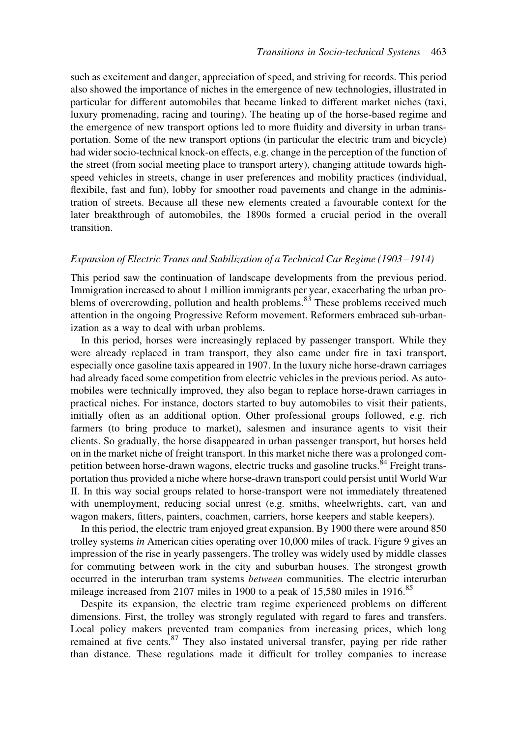such as excitement and danger, appreciation of speed, and striving for records. This period also showed the importance of niches in the emergence of new technologies, illustrated in particular for different automobiles that became linked to different market niches (taxi, luxury promenading, racing and touring). The heating up of the horse-based regime and the emergence of new transport options led to more fluidity and diversity in urban transportation. Some of the new transport options (in particular the electric tram and bicycle) had wider socio-technical knock-on effects, e.g. change in the perception of the function of the street (from social meeting place to transport artery), changing attitude towards highspeed vehicles in streets, change in user preferences and mobility practices (individual, flexibile, fast and fun), lobby for smoother road pavements and change in the administration of streets. Because all these new elements created a favourable context for the later breakthrough of automobiles, the 1890s formed a crucial period in the overall transition.

#### Expansion of Electric Trams and Stabilization of a Technical Car Regime (1903 –1914)

This period saw the continuation of landscape developments from the previous period. Immigration increased to about 1 million immigrants per year, exacerbating the urban problems of overcrowding, pollution and health problems.<sup>83</sup> These problems received much attention in the ongoing Progressive Reform movement. Reformers embraced sub-urbanization as a way to deal with urban problems.

In this period, horses were increasingly replaced by passenger transport. While they were already replaced in tram transport, they also came under fire in taxi transport, especially once gasoline taxis appeared in 1907. In the luxury niche horse-drawn carriages had already faced some competition from electric vehicles in the previous period. As automobiles were technically improved, they also began to replace horse-drawn carriages in practical niches. For instance, doctors started to buy automobiles to visit their patients, initially often as an additional option. Other professional groups followed, e.g. rich farmers (to bring produce to market), salesmen and insurance agents to visit their clients. So gradually, the horse disappeared in urban passenger transport, but horses held on in the market niche of freight transport. In this market niche there was a prolonged competition between horse-drawn wagons, electric trucks and gasoline trucks.<sup>84</sup> Freight transportation thus provided a niche where horse-drawn transport could persist until World War II. In this way social groups related to horse-transport were not immediately threatened with unemployment, reducing social unrest (e.g. smiths, wheelwrights, cart, van and wagon makers, fitters, painters, coachmen, carriers, horse keepers and stable keepers).

In this period, the electric tram enjoyed great expansion. By 1900 there were around 850 trolley systems in American cities operating over 10,000 miles of track. Figure 9 gives an impression of the rise in yearly passengers. The trolley was widely used by middle classes for commuting between work in the city and suburban houses. The strongest growth occurred in the interurban tram systems between communities. The electric interurban mileage increased from 2107 miles in 1900 to a peak of 15,580 miles in 1916.<sup>85</sup>

Despite its expansion, the electric tram regime experienced problems on different dimensions. First, the trolley was strongly regulated with regard to fares and transfers. Local policy makers prevented tram companies from increasing prices, which long remained at five cents.<sup>87</sup> They also instated universal transfer, paying per ride rather than distance. These regulations made it difficult for trolley companies to increase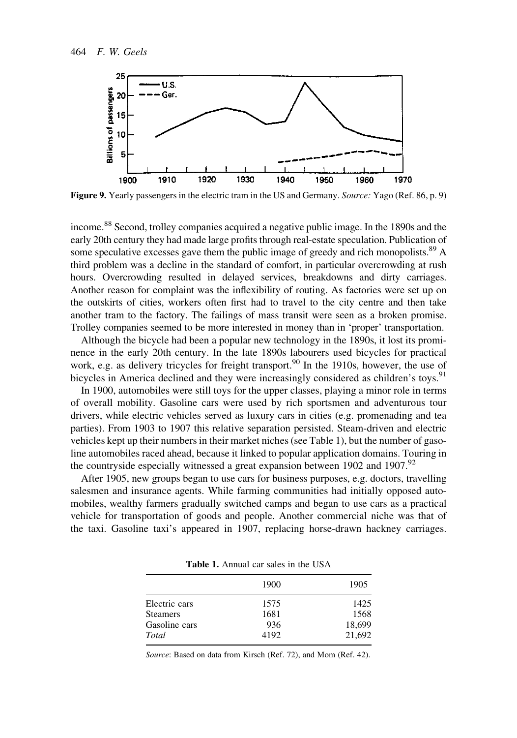

Figure 9. Yearly passengers in the electric tram in the US and Germany. Source: Yago (Ref. 86, p. 9)

income.<sup>88</sup> Second, trolley companies acquired a negative public image. In the 1890s and the early 20th century they had made large profits through real-estate speculation. Publication of some speculative excesses gave them the public image of greedy and rich monopolists.<sup>89</sup> A third problem was a decline in the standard of comfort, in particular overcrowding at rush hours. Overcrowding resulted in delayed services, breakdowns and dirty carriages. Another reason for complaint was the inflexibility of routing. As factories were set up on the outskirts of cities, workers often first had to travel to the city centre and then take another tram to the factory. The failings of mass transit were seen as a broken promise. Trolley companies seemed to be more interested in money than in 'proper' transportation.

Although the bicycle had been a popular new technology in the 1890s, it lost its prominence in the early 20th century. In the late 1890s labourers used bicycles for practical work, e.g. as delivery tricycles for freight transport.<sup>90</sup> In the 1910s, however, the use of bicycles in America declined and they were increasingly considered as children's toys.<sup>91</sup>

In 1900, automobiles were still toys for the upper classes, playing a minor role in terms of overall mobility. Gasoline cars were used by rich sportsmen and adventurous tour drivers, while electric vehicles served as luxury cars in cities (e.g. promenading and tea parties). From 1903 to 1907 this relative separation persisted. Steam-driven and electric vehicles kept up their numbers in their market niches (see Table 1), but the number of gasoline automobiles raced ahead, because it linked to popular application domains. Touring in the countryside especially witnessed a great expansion between 1902 and 1907.<sup>92</sup>

After 1905, new groups began to use cars for business purposes, e.g. doctors, travelling salesmen and insurance agents. While farming communities had initially opposed automobiles, wealthy farmers gradually switched camps and began to use cars as a practical vehicle for transportation of goods and people. Another commercial niche was that of the taxi. Gasoline taxi's appeared in 1907, replacing horse-drawn hackney carriages.

|                 | 1900 | 1905   |  |
|-----------------|------|--------|--|
| Electric cars   | 1575 | 1425   |  |
| <b>Steamers</b> | 1681 | 1568   |  |
| Gasoline cars   | 936  | 18,699 |  |
| Total           | 4192 | 21,692 |  |

Table 1. Annual car sales in the USA

Source: Based on data from Kirsch (Ref. 72), and Mom (Ref. 42).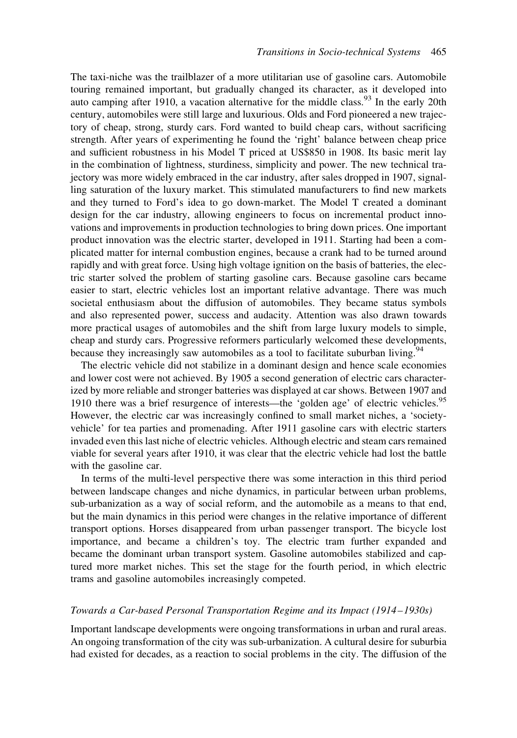The taxi-niche was the trailblazer of a more utilitarian use of gasoline cars. Automobile touring remained important, but gradually changed its character, as it developed into auto camping after 1910, a vacation alternative for the middle class.<sup>93</sup> In the early 20th century, automobiles were still large and luxurious. Olds and Ford pioneered a new trajectory of cheap, strong, sturdy cars. Ford wanted to build cheap cars, without sacrificing strength. After years of experimenting he found the 'right' balance between cheap price and sufficient robustness in his Model T priced at US\$850 in 1908. Its basic merit lay in the combination of lightness, sturdiness, simplicity and power. The new technical trajectory was more widely embraced in the car industry, after sales dropped in 1907, signalling saturation of the luxury market. This stimulated manufacturers to find new markets and they turned to Ford's idea to go down-market. The Model T created a dominant design for the car industry, allowing engineers to focus on incremental product innovations and improvements in production technologies to bring down prices. One important product innovation was the electric starter, developed in 1911. Starting had been a complicated matter for internal combustion engines, because a crank had to be turned around rapidly and with great force. Using high voltage ignition on the basis of batteries, the electric starter solved the problem of starting gasoline cars. Because gasoline cars became easier to start, electric vehicles lost an important relative advantage. There was much societal enthusiasm about the diffusion of automobiles. They became status symbols and also represented power, success and audacity. Attention was also drawn towards more practical usages of automobiles and the shift from large luxury models to simple, cheap and sturdy cars. Progressive reformers particularly welcomed these developments, because they increasingly saw automobiles as a tool to facilitate suburban living.<sup>94</sup>

The electric vehicle did not stabilize in a dominant design and hence scale economies and lower cost were not achieved. By 1905 a second generation of electric cars characterized by more reliable and stronger batteries was displayed at car shows. Between 1907 and 1910 there was a brief resurgence of interests—the 'golden age' of electric vehicles.<sup>95</sup> However, the electric car was increasingly confined to small market niches, a 'societyvehicle' for tea parties and promenading. After 1911 gasoline cars with electric starters invaded even this last niche of electric vehicles. Although electric and steam cars remained viable for several years after 1910, it was clear that the electric vehicle had lost the battle with the gasoline car.

In terms of the multi-level perspective there was some interaction in this third period between landscape changes and niche dynamics, in particular between urban problems, sub-urbanization as a way of social reform, and the automobile as a means to that end, but the main dynamics in this period were changes in the relative importance of different transport options. Horses disappeared from urban passenger transport. The bicycle lost importance, and became a children's toy. The electric tram further expanded and became the dominant urban transport system. Gasoline automobiles stabilized and captured more market niches. This set the stage for the fourth period, in which electric trams and gasoline automobiles increasingly competed.

#### Towards a Car-based Personal Transportation Regime and its Impact (1914 –1930s)

Important landscape developments were ongoing transformations in urban and rural areas. An ongoing transformation of the city was sub-urbanization. A cultural desire for suburbia had existed for decades, as a reaction to social problems in the city. The diffusion of the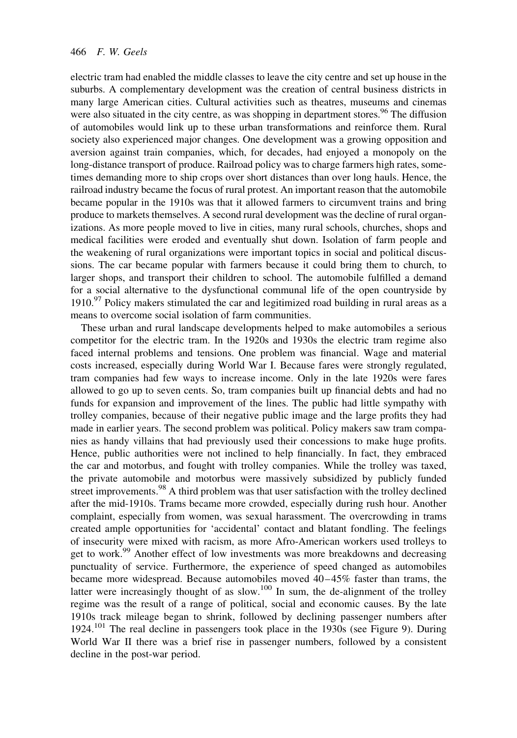electric tram had enabled the middle classes to leave the city centre and set up house in the suburbs. A complementary development was the creation of central business districts in many large American cities. Cultural activities such as theatres, museums and cinemas were also situated in the city centre, as was shopping in department stores.<sup>96</sup> The diffusion of automobiles would link up to these urban transformations and reinforce them. Rural society also experienced major changes. One development was a growing opposition and aversion against train companies, which, for decades, had enjoyed a monopoly on the long-distance transport of produce. Railroad policy was to charge farmers high rates, sometimes demanding more to ship crops over short distances than over long hauls. Hence, the railroad industry became the focus of rural protest. An important reason that the automobile became popular in the 1910s was that it allowed farmers to circumvent trains and bring produce to markets themselves. A second rural development was the decline of rural organizations. As more people moved to live in cities, many rural schools, churches, shops and medical facilities were eroded and eventually shut down. Isolation of farm people and the weakening of rural organizations were important topics in social and political discussions. The car became popular with farmers because it could bring them to church, to larger shops, and transport their children to school. The automobile fulfilled a demand for a social alternative to the dysfunctional communal life of the open countryside by 1910. $97$  Policy makers stimulated the car and legitimized road building in rural areas as a means to overcome social isolation of farm communities.

These urban and rural landscape developments helped to make automobiles a serious competitor for the electric tram. In the 1920s and 1930s the electric tram regime also faced internal problems and tensions. One problem was financial. Wage and material costs increased, especially during World War I. Because fares were strongly regulated, tram companies had few ways to increase income. Only in the late 1920s were fares allowed to go up to seven cents. So, tram companies built up financial debts and had no funds for expansion and improvement of the lines. The public had little sympathy with trolley companies, because of their negative public image and the large profits they had made in earlier years. The second problem was political. Policy makers saw tram companies as handy villains that had previously used their concessions to make huge profits. Hence, public authorities were not inclined to help financially. In fact, they embraced the car and motorbus, and fought with trolley companies. While the trolley was taxed, the private automobile and motorbus were massively subsidized by publicly funded street improvements.<sup>98</sup> A third problem was that user satisfaction with the trolley declined after the mid-1910s. Trams became more crowded, especially during rush hour. Another complaint, especially from women, was sexual harassment. The overcrowding in trams created ample opportunities for 'accidental' contact and blatant fondling. The feelings of insecurity were mixed with racism, as more Afro-American workers used trolleys to get to work.<sup>99</sup> Another effect of low investments was more breakdowns and decreasing punctuality of service. Furthermore, the experience of speed changed as automobiles became more widespread. Because automobiles moved 40 –45% faster than trams, the latter were increasingly thought of as slow.<sup>100</sup> In sum, the de-alignment of the trolley regime was the result of a range of political, social and economic causes. By the late 1910s track mileage began to shrink, followed by declining passenger numbers after 1924.<sup>101</sup> The real decline in passengers took place in the 1930s (see Figure 9). During World War II there was a brief rise in passenger numbers, followed by a consistent decline in the post-war period.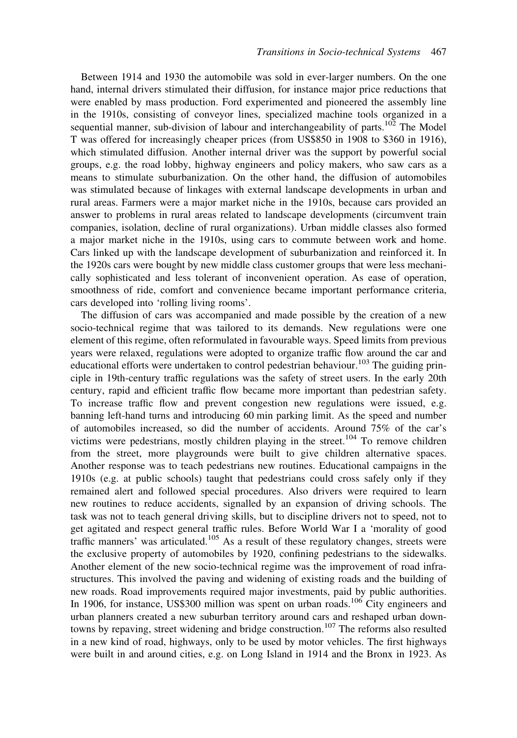Between 1914 and 1930 the automobile was sold in ever-larger numbers. On the one hand, internal drivers stimulated their diffusion, for instance major price reductions that were enabled by mass production. Ford experimented and pioneered the assembly line in the 1910s, consisting of conveyor lines, specialized machine tools organized in a sequential manner, sub-division of labour and interchangeability of parts.<sup>102</sup> The Model T was offered for increasingly cheaper prices (from US\$850 in 1908 to \$360 in 1916), which stimulated diffusion. Another internal driver was the support by powerful social groups, e.g. the road lobby, highway engineers and policy makers, who saw cars as a means to stimulate suburbanization. On the other hand, the diffusion of automobiles was stimulated because of linkages with external landscape developments in urban and rural areas. Farmers were a major market niche in the 1910s, because cars provided an answer to problems in rural areas related to landscape developments (circumvent train companies, isolation, decline of rural organizations). Urban middle classes also formed a major market niche in the 1910s, using cars to commute between work and home. Cars linked up with the landscape development of suburbanization and reinforced it. In the 1920s cars were bought by new middle class customer groups that were less mechanically sophisticated and less tolerant of inconvenient operation. As ease of operation, smoothness of ride, comfort and convenience became important performance criteria, cars developed into 'rolling living rooms'.

The diffusion of cars was accompanied and made possible by the creation of a new socio-technical regime that was tailored to its demands. New regulations were one element of this regime, often reformulated in favourable ways. Speed limits from previous years were relaxed, regulations were adopted to organize traffic flow around the car and educational efforts were undertaken to control pedestrian behaviour.<sup>103</sup> The guiding principle in 19th-century traffic regulations was the safety of street users. In the early 20th century, rapid and efficient traffic flow became more important than pedestrian safety. To increase traffic flow and prevent congestion new regulations were issued, e.g. banning left-hand turns and introducing 60 min parking limit. As the speed and number of automobiles increased, so did the number of accidents. Around 75% of the car's victims were pedestrians, mostly children playing in the street.<sup>104</sup> To remove children from the street, more playgrounds were built to give children alternative spaces. Another response was to teach pedestrians new routines. Educational campaigns in the 1910s (e.g. at public schools) taught that pedestrians could cross safely only if they remained alert and followed special procedures. Also drivers were required to learn new routines to reduce accidents, signalled by an expansion of driving schools. The task was not to teach general driving skills, but to discipline drivers not to speed, not to get agitated and respect general traffic rules. Before World War I a 'morality of good traffic manners' was articulated.<sup>105</sup> As a result of these regulatory changes, streets were the exclusive property of automobiles by 1920, confining pedestrians to the sidewalks. Another element of the new socio-technical regime was the improvement of road infrastructures. This involved the paving and widening of existing roads and the building of new roads. Road improvements required major investments, paid by public authorities. In 1906, for instance, US\$300 million was spent on urban roads.<sup>106</sup> City engineers and urban planners created a new suburban territory around cars and reshaped urban downtowns by repaving, street widening and bridge construction.<sup>107</sup> The reforms also resulted in a new kind of road, highways, only to be used by motor vehicles. The first highways were built in and around cities, e.g. on Long Island in 1914 and the Bronx in 1923. As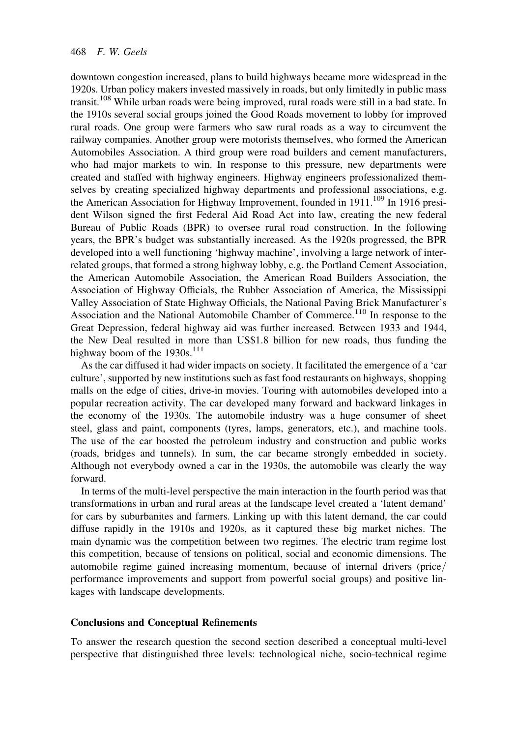downtown congestion increased, plans to build highways became more widespread in the 1920s. Urban policy makers invested massively in roads, but only limitedly in public mass transit.<sup>108</sup> While urban roads were being improved, rural roads were still in a bad state. In the 1910s several social groups joined the Good Roads movement to lobby for improved rural roads. One group were farmers who saw rural roads as a way to circumvent the railway companies. Another group were motorists themselves, who formed the American Automobiles Association. A third group were road builders and cement manufacturers, who had major markets to win. In response to this pressure, new departments were created and staffed with highway engineers. Highway engineers professionalized themselves by creating specialized highway departments and professional associations, e.g. the American Association for Highway Improvement, founded in 1911.<sup>109</sup> In 1916 president Wilson signed the first Federal Aid Road Act into law, creating the new federal Bureau of Public Roads (BPR) to oversee rural road construction. In the following years, the BPR's budget was substantially increased. As the 1920s progressed, the BPR developed into a well functioning 'highway machine', involving a large network of interrelated groups, that formed a strong highway lobby, e.g. the Portland Cement Association, the American Automobile Association, the American Road Builders Association, the Association of Highway Officials, the Rubber Association of America, the Mississippi Valley Association of State Highway Officials, the National Paving Brick Manufacturer's Association and the National Automobile Chamber of Commerce.<sup>110</sup> In response to the Great Depression, federal highway aid was further increased. Between 1933 and 1944, the New Deal resulted in more than US\$1.8 billion for new roads, thus funding the highway boom of the  $1930s$ .<sup>111</sup>

As the car diffused it had wider impacts on society. It facilitated the emergence of a 'car culture', supported by new institutions such as fast food restaurants on highways, shopping malls on the edge of cities, drive-in movies. Touring with automobiles developed into a popular recreation activity. The car developed many forward and backward linkages in the economy of the 1930s. The automobile industry was a huge consumer of sheet steel, glass and paint, components (tyres, lamps, generators, etc.), and machine tools. The use of the car boosted the petroleum industry and construction and public works (roads, bridges and tunnels). In sum, the car became strongly embedded in society. Although not everybody owned a car in the 1930s, the automobile was clearly the way forward.

In terms of the multi-level perspective the main interaction in the fourth period was that transformations in urban and rural areas at the landscape level created a 'latent demand' for cars by suburbanites and farmers. Linking up with this latent demand, the car could diffuse rapidly in the 1910s and 1920s, as it captured these big market niches. The main dynamic was the competition between two regimes. The electric tram regime lost this competition, because of tensions on political, social and economic dimensions. The automobile regime gained increasing momentum, because of internal drivers (price/ performance improvements and support from powerful social groups) and positive linkages with landscape developments.

#### Conclusions and Conceptual Refinements

To answer the research question the second section described a conceptual multi-level perspective that distinguished three levels: technological niche, socio-technical regime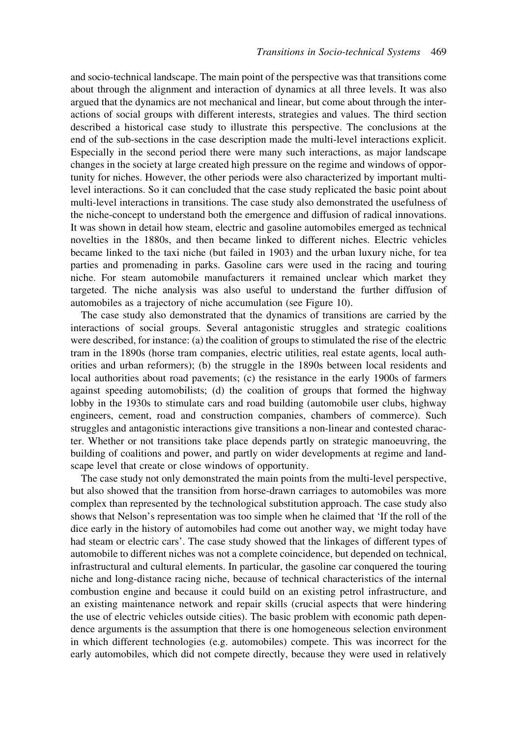and socio-technical landscape. The main point of the perspective was that transitions come about through the alignment and interaction of dynamics at all three levels. It was also argued that the dynamics are not mechanical and linear, but come about through the interactions of social groups with different interests, strategies and values. The third section described a historical case study to illustrate this perspective. The conclusions at the end of the sub-sections in the case description made the multi-level interactions explicit. Especially in the second period there were many such interactions, as major landscape changes in the society at large created high pressure on the regime and windows of opportunity for niches. However, the other periods were also characterized by important multilevel interactions. So it can concluded that the case study replicated the basic point about multi-level interactions in transitions. The case study also demonstrated the usefulness of the niche-concept to understand both the emergence and diffusion of radical innovations. It was shown in detail how steam, electric and gasoline automobiles emerged as technical novelties in the 1880s, and then became linked to different niches. Electric vehicles became linked to the taxi niche (but failed in 1903) and the urban luxury niche, for tea parties and promenading in parks. Gasoline cars were used in the racing and touring niche. For steam automobile manufacturers it remained unclear which market they targeted. The niche analysis was also useful to understand the further diffusion of automobiles as a trajectory of niche accumulation (see Figure 10).

The case study also demonstrated that the dynamics of transitions are carried by the interactions of social groups. Several antagonistic struggles and strategic coalitions were described, for instance: (a) the coalition of groups to stimulated the rise of the electric tram in the 1890s (horse tram companies, electric utilities, real estate agents, local authorities and urban reformers); (b) the struggle in the 1890s between local residents and local authorities about road pavements; (c) the resistance in the early 1900s of farmers against speeding automobilists; (d) the coalition of groups that formed the highway lobby in the 1930s to stimulate cars and road building (automobile user clubs, highway engineers, cement, road and construction companies, chambers of commerce). Such struggles and antagonistic interactions give transitions a non-linear and contested character. Whether or not transitions take place depends partly on strategic manoeuvring, the building of coalitions and power, and partly on wider developments at regime and landscape level that create or close windows of opportunity.

The case study not only demonstrated the main points from the multi-level perspective, but also showed that the transition from horse-drawn carriages to automobiles was more complex than represented by the technological substitution approach. The case study also shows that Nelson's representation was too simple when he claimed that 'If the roll of the dice early in the history of automobiles had come out another way, we might today have had steam or electric cars'. The case study showed that the linkages of different types of automobile to different niches was not a complete coincidence, but depended on technical, infrastructural and cultural elements. In particular, the gasoline car conquered the touring niche and long-distance racing niche, because of technical characteristics of the internal combustion engine and because it could build on an existing petrol infrastructure, and an existing maintenance network and repair skills (crucial aspects that were hindering the use of electric vehicles outside cities). The basic problem with economic path dependence arguments is the assumption that there is one homogeneous selection environment in which different technologies (e.g. automobiles) compete. This was incorrect for the early automobiles, which did not compete directly, because they were used in relatively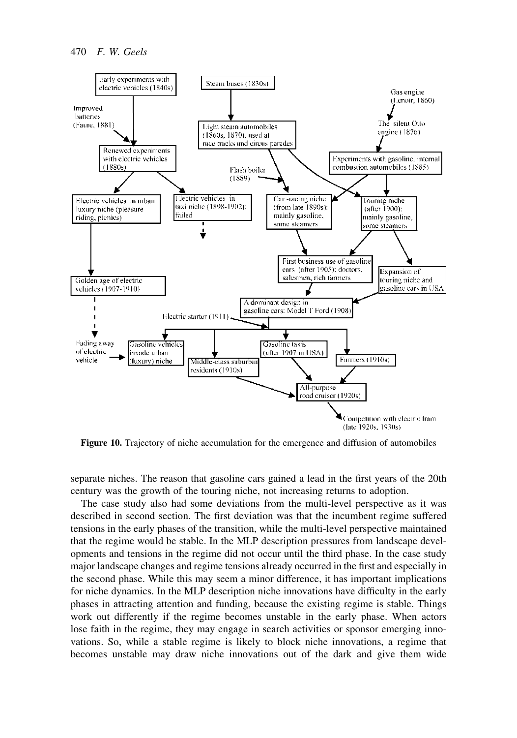

Figure 10. Trajectory of niche accumulation for the emergence and diffusion of automobiles

separate niches. The reason that gasoline cars gained a lead in the first years of the 20th century was the growth of the touring niche, not increasing returns to adoption.

The case study also had some deviations from the multi-level perspective as it was described in second section. The first deviation was that the incumbent regime suffered tensions in the early phases of the transition, while the multi-level perspective maintained that the regime would be stable. In the MLP description pressures from landscape developments and tensions in the regime did not occur until the third phase. In the case study major landscape changes and regime tensions already occurred in the first and especially in the second phase. While this may seem a minor difference, it has important implications for niche dynamics. In the MLP description niche innovations have difficulty in the early phases in attracting attention and funding, because the existing regime is stable. Things work out differently if the regime becomes unstable in the early phase. When actors lose faith in the regime, they may engage in search activities or sponsor emerging innovations. So, while a stable regime is likely to block niche innovations, a regime that becomes unstable may draw niche innovations out of the dark and give them wide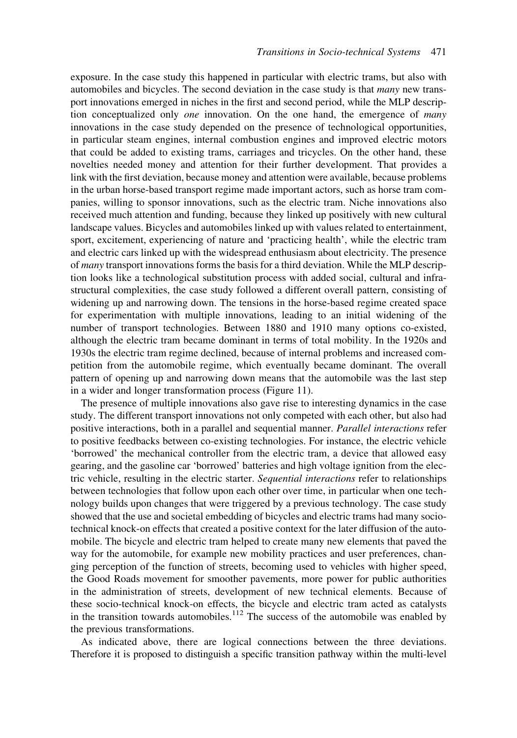exposure. In the case study this happened in particular with electric trams, but also with automobiles and bicycles. The second deviation in the case study is that *many* new transport innovations emerged in niches in the first and second period, while the MLP description conceptualized only *one* innovation. On the one hand, the emergence of *many* innovations in the case study depended on the presence of technological opportunities, in particular steam engines, internal combustion engines and improved electric motors that could be added to existing trams, carriages and tricycles. On the other hand, these novelties needed money and attention for their further development. That provides a link with the first deviation, because money and attention were available, because problems in the urban horse-based transport regime made important actors, such as horse tram companies, willing to sponsor innovations, such as the electric tram. Niche innovations also received much attention and funding, because they linked up positively with new cultural landscape values. Bicycles and automobiles linked up with values related to entertainment, sport, excitement, experiencing of nature and 'practicing health', while the electric tram and electric cars linked up with the widespread enthusiasm about electricity. The presence of many transport innovations forms the basis for a third deviation. While the MLP description looks like a technological substitution process with added social, cultural and infrastructural complexities, the case study followed a different overall pattern, consisting of widening up and narrowing down. The tensions in the horse-based regime created space for experimentation with multiple innovations, leading to an initial widening of the number of transport technologies. Between 1880 and 1910 many options co-existed, although the electric tram became dominant in terms of total mobility. In the 1920s and 1930s the electric tram regime declined, because of internal problems and increased competition from the automobile regime, which eventually became dominant. The overall pattern of opening up and narrowing down means that the automobile was the last step in a wider and longer transformation process (Figure 11).

The presence of multiple innovations also gave rise to interesting dynamics in the case study. The different transport innovations not only competed with each other, but also had positive interactions, both in a parallel and sequential manner. Parallel interactions refer to positive feedbacks between co-existing technologies. For instance, the electric vehicle 'borrowed' the mechanical controller from the electric tram, a device that allowed easy gearing, and the gasoline car 'borrowed' batteries and high voltage ignition from the electric vehicle, resulting in the electric starter. Sequential interactions refer to relationships between technologies that follow upon each other over time, in particular when one technology builds upon changes that were triggered by a previous technology. The case study showed that the use and societal embedding of bicycles and electric trams had many sociotechnical knock-on effects that created a positive context for the later diffusion of the automobile. The bicycle and electric tram helped to create many new elements that paved the way for the automobile, for example new mobility practices and user preferences, changing perception of the function of streets, becoming used to vehicles with higher speed, the Good Roads movement for smoother pavements, more power for public authorities in the administration of streets, development of new technical elements. Because of these socio-technical knock-on effects, the bicycle and electric tram acted as catalysts in the transition towards automobiles.<sup>112</sup> The success of the automobile was enabled by the previous transformations.

As indicated above, there are logical connections between the three deviations. Therefore it is proposed to distinguish a specific transition pathway within the multi-level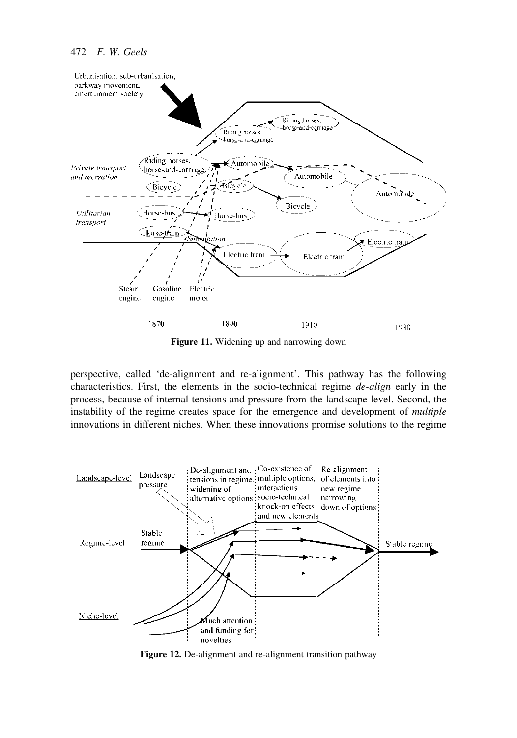

Figure 11. Widening up and narrowing down

perspective, called 'de-alignment and re-alignment'. This pathway has the following characteristics. First, the elements in the socio-technical regime de-align early in the process, because of internal tensions and pressure from the landscape level. Second, the instability of the regime creates space for the emergence and development of multiple innovations in different niches. When these innovations promise solutions to the regime



Figure 12. De-alignment and re-alignment transition pathway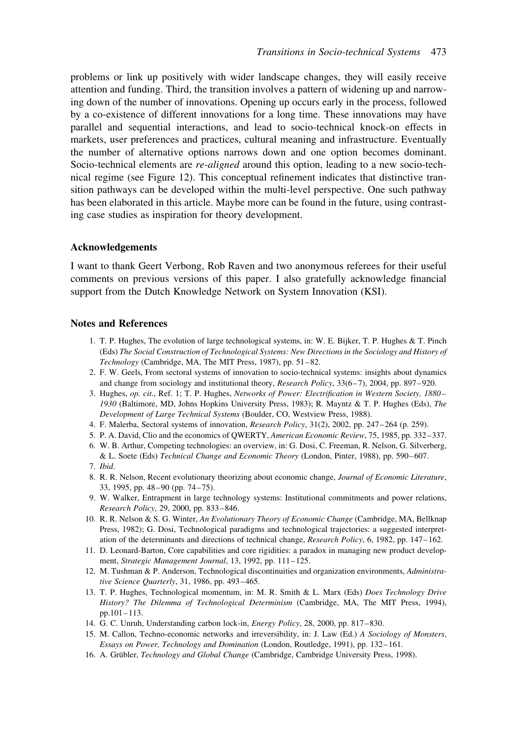problems or link up positively with wider landscape changes, they will easily receive attention and funding. Third, the transition involves a pattern of widening up and narrowing down of the number of innovations. Opening up occurs early in the process, followed by a co-existence of different innovations for a long time. These innovations may have parallel and sequential interactions, and lead to socio-technical knock-on effects in markets, user preferences and practices, cultural meaning and infrastructure. Eventually the number of alternative options narrows down and one option becomes dominant. Socio-technical elements are *re-aligned* around this option, leading to a new socio-technical regime (see Figure 12). This conceptual refinement indicates that distinctive transition pathways can be developed within the multi-level perspective. One such pathway has been elaborated in this article. Maybe more can be found in the future, using contrasting case studies as inspiration for theory development.

#### Acknowledgements

I want to thank Geert Verbong, Rob Raven and two anonymous referees for their useful comments on previous versions of this paper. I also gratefully acknowledge financial support from the Dutch Knowledge Network on System Innovation (KSI).

#### Notes and References

- 1. T. P. Hughes, The evolution of large technological systems, in: W. E. Bijker, T. P. Hughes & T. Pinch (Eds) The Social Construction of Technological Systems: New Directions in the Sociology and History of Technology (Cambridge, MA, The MIT Press, 1987), pp. 51 –82.
- 2. F. W. Geels, From sectoral systems of innovation to socio-technical systems: insights about dynamics and change from sociology and institutional theory, Research Policy, 33(6–7), 2004, pp. 897–920.
- 3. Hughes, op. cit., Ref. 1; T. P. Hughes, Networks of Power: Electrification in Western Society, 1880– 1930 (Baltimore, MD, Johns Hopkins University Press, 1983); R. Mayntz & T. P. Hughes (Eds), The Development of Large Technical Systems (Boulder, CO, Westview Press, 1988).
- 4. F. Malerba, Sectoral systems of innovation, Research Policy, 31(2), 2002, pp. 247–264 (p. 259).
- 5. P. A. David, Clio and the economics of QWERTY, American Economic Review, 75, 1985, pp. 332 –337.
- 6. W. B. Arthur, Competing technologies: an overview, in: G. Dosi, C. Freeman, R. Nelson, G. Silverberg, & L. Soete (Eds) Technical Change and Economic Theory (London, Pinter, 1988), pp. 590– 607.
- 7. Ibid.
- 8. R. R. Nelson, Recent evolutionary theorizing about economic change, Journal of Economic Literature, 33, 1995, pp. 48–90 (pp. 74 –75).
- 9. W. Walker, Entrapment in large technology systems: Institutional commitments and power relations, Research Policy, 29, 2000, pp. 833 –846.
- 10. R. R. Nelson & S. G. Winter, An Evolutionary Theory of Economic Change (Cambridge, MA, Bellknap Press, 1982); G. Dosi, Technological paradigms and technological trajectories: a suggested interpretation of the determinants and directions of technical change, Research Policy, 6, 1982, pp. 147–162.
- 11. D. Leonard-Barton, Core capabilities and core rigidities: a paradox in managing new product development, Strategic Management Journal, 13, 1992, pp. 111–125.
- 12. M. Tushman & P. Anderson, Technological discontinuities and organization environments, Administrative Science Quarterly, 31, 1986, pp. 493–465.
- 13. T. P. Hughes, Technological momentum, in: M. R. Smith & L. Marx (Eds) Does Technology Drive History? The Dilemma of Technological Determinism (Cambridge, MA, The MIT Press, 1994), pp.101–113.
- 14. G. C. Unruh, Understanding carbon lock-in, Energy Policy, 28, 2000, pp. 817 –830.
- 15. M. Callon, Techno-economic networks and irreversibility, in: J. Law (Ed.) A Sociology of Monsters, Essays on Power, Technology and Domination (London, Routledge, 1991), pp. 132–161.
- 16. A. Grübler, Technology and Global Change (Cambridge, Cambridge University Press, 1998).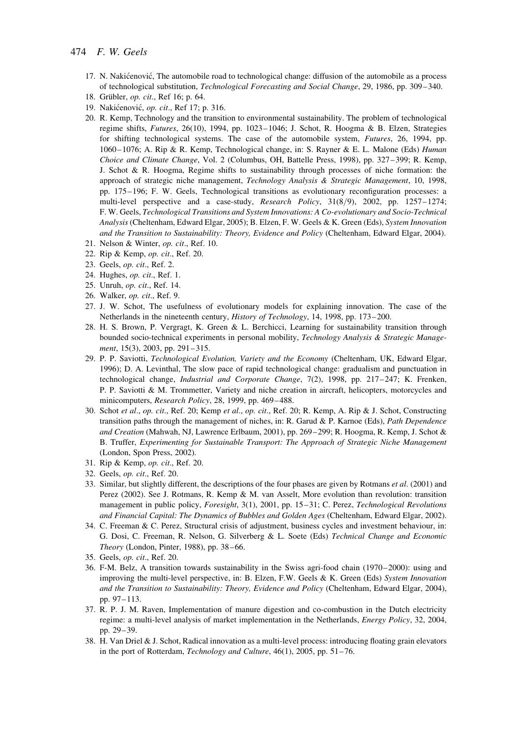- 17. N. Nakićenović. The automobile road to technological change: diffusion of the automobile as a process of technological substitution, Technological Forecasting and Social Change, 29, 1986, pp. 309 –340.
- 18. Grübler, *op. cit.*, Ref 16; p. 64.
- 19. Nakićenović, op. cit., Ref 17; p. 316.
- 20. R. Kemp, Technology and the transition to environmental sustainability. The problem of technological regime shifts, Futures, 26(10), 1994, pp. 1023–1046; J. Schot, R. Hoogma & B. Elzen, Strategies for shifting technological systems. The case of the automobile system, Futures, 26, 1994, pp. 1060–1076; A. Rip & R. Kemp, Technological change, in: S. Rayner & E. L. Malone (Eds) Human Choice and Climate Change, Vol. 2 (Columbus, OH, Battelle Press, 1998), pp. 327 –399; R. Kemp, J. Schot & R. Hoogma, Regime shifts to sustainability through processes of niche formation: the approach of strategic niche management, Technology Analysis & Strategic Management, 10, 1998, pp. 175 –196; F. W. Geels, Technological transitions as evolutionary reconfiguration processes: a multi-level perspective and a case-study, Research Policy, 31(8/9), 2002, pp. 1257–1274; F. W. Geels, Technological Transitions and System Innovations: A Co-evolutionary and Socio-Technical Analysis (Cheltenham, Edward Elgar, 2005); B. Elzen, F. W. Geels & K. Green (Eds), System Innovation and the Transition to Sustainability: Theory, Evidence and Policy (Cheltenham, Edward Elgar, 2004).
- 21. Nelson & Winter, op. cit., Ref. 10. 22. Rip & Kemp, op. cit., Ref. 20.
- 23. Geels, op. cit., Ref. 2.
- 24. Hughes, op. cit., Ref. 1.
- 25. Unruh, op. cit., Ref. 14.
- 26. Walker, op. cit., Ref. 9.
- 27. J. W. Schot, The usefulness of evolutionary models for explaining innovation. The case of the Netherlands in the nineteenth century, History of Technology, 14, 1998, pp. 173–200.
- 28. H. S. Brown, P. Vergragt, K. Green & L. Berchicci, Learning for sustainability transition through bounded socio-technical experiments in personal mobility, Technology Analysis & Strategic Management, 15(3), 2003, pp. 291–315.
- 29. P. P. Saviotti, Technological Evolution, Variety and the Economy (Cheltenham, UK, Edward Elgar, 1996); D. A. Levinthal, The slow pace of rapid technological change: gradualism and punctuation in technological change, Industrial and Corporate Change, 7(2), 1998, pp. 217-247; K. Frenken, P. P. Saviotti & M. Trommetter, Variety and niche creation in aircraft, helicopters, motorcycles and minicomputers, Research Policy, 28, 1999, pp. 469–488.
- 30. Schot et al., op. cit., Ref. 20; Kemp et al., op. cit., Ref. 20; R. Kemp, A. Rip & J. Schot, Constructing transition paths through the management of niches, in: R. Garud & P. Karnoe (Eds), Path Dependence and Creation (Mahwah, NJ, Lawrence Erlbaum, 2001), pp. 269–299; R. Hoogma, R. Kemp, J. Schot & B. Truffer, Experimenting for Sustainable Transport: The Approach of Strategic Niche Management (London, Spon Press, 2002).
- 31. Rip & Kemp, op. cit., Ref. 20.
- 32. Geels, op. cit., Ref. 20.
- 33. Similar, but slightly different, the descriptions of the four phases are given by Rotmans *et al.* (2001) and Perez (2002). See J. Rotmans, R. Kemp & M. van Asselt, More evolution than revolution: transition management in public policy, Foresight, 3(1), 2001, pp. 15-31; C. Perez, Technological Revolutions and Financial Capital: The Dynamics of Bubbles and Golden Ages (Cheltenham, Edward Elgar, 2002).
- 34. C. Freeman & C. Perez, Structural crisis of adjustment, business cycles and investment behaviour, in: G. Dosi, C. Freeman, R. Nelson, G. Silverberg & L. Soete (Eds) Technical Change and Economic Theory (London, Pinter, 1988), pp. 38–66.
- 35. Geels, op. cit., Ref. 20.
- 36. F-M. Belz, A transition towards sustainability in the Swiss agri-food chain (1970–2000): using and improving the multi-level perspective, in: B. Elzen, F.W. Geels & K. Green (Eds) System Innovation and the Transition to Sustainability: Theory, Evidence and Policy (Cheltenham, Edward Elgar, 2004), pp. 97–113.
- 37. R. P. J. M. Raven, Implementation of manure digestion and co-combustion in the Dutch electricity regime: a multi-level analysis of market implementation in the Netherlands, Energy Policy, 32, 2004, pp. 29–39.
- 38. H. Van Driel & J. Schot, Radical innovation as a multi-level process: introducing floating grain elevators in the port of Rotterdam, Technology and Culture, 46(1), 2005, pp. 51–76.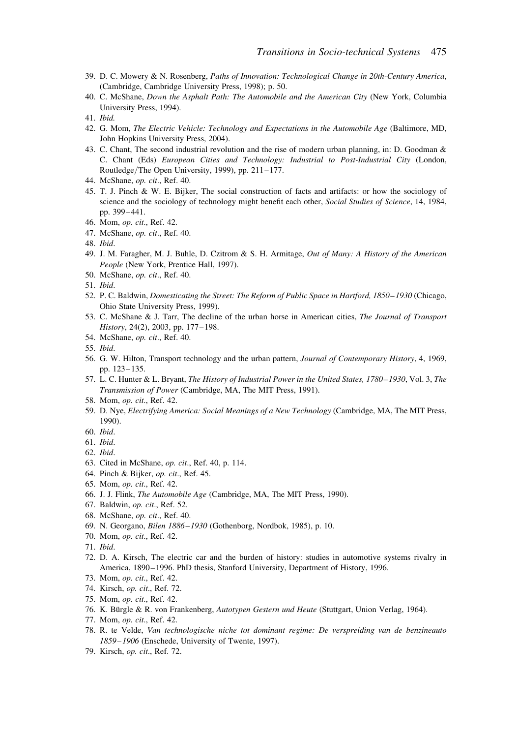- 39. D. C. Mowery & N. Rosenberg, Paths of Innovation: Technological Change in 20th-Century America, (Cambridge, Cambridge University Press, 1998); p. 50.
- 40. C. McShane, Down the Asphalt Path: The Automobile and the American City (New York, Columbia University Press, 1994).

- 42. G. Mom, The Electric Vehicle: Technology and Expectations in the Automobile Age (Baltimore, MD, John Hopkins University Press, 2004).
- 43. C. Chant, The second industrial revolution and the rise of modern urban planning, in: D. Goodman & C. Chant (Eds) European Cities and Technology: Industrial to Post-Industrial City (London, Routledge/The Open University, 1999), pp. 211 –177.
- 44. McShane, op. cit., Ref. 40.
- 45. T. J. Pinch & W. E. Bijker, The social construction of facts and artifacts: or how the sociology of science and the sociology of technology might benefit each other, *Social Studies of Science*, 14, 1984, pp. 399–441.
- 46. Mom, op. cit., Ref. 42.
- 47. McShane, op. cit., Ref. 40.
- 48. Ibid.
- 49. J. M. Faragher, M. J. Buhle, D. Czitrom & S. H. Armitage, Out of Many: A History of the American People (New York, Prentice Hall, 1997).
- 50. McShane, op. cit., Ref. 40.
- 51. Ibid.
- 52. P. C. Baldwin, Domesticating the Street: The Reform of Public Space in Hartford, 1850–1930 (Chicago, Ohio State University Press, 1999).
- 53. C. McShane & J. Tarr, The decline of the urban horse in American cities, The Journal of Transport History, 24(2), 2003, pp. 177–198.
- 54. McShane, op. cit., Ref. 40.
- 55. Ibid.
- 56. G. W. Hilton, Transport technology and the urban pattern, Journal of Contemporary History, 4, 1969, pp. 123–135.
- 57. L. C. Hunter & L. Bryant, The History of Industrial Power in the United States, 1780– 1930, Vol. 3, The Transmission of Power (Cambridge, MA, The MIT Press, 1991).
- 58. Mom, op. cit., Ref. 42.
- 59. D. Nye, Electrifying America: Social Meanings of a New Technology (Cambridge, MA, The MIT Press, 1990).
- 60. Ibid.
- 61. Ibid.
- 62. Ibid.
- 63. Cited in McShane, op. cit., Ref. 40, p. 114.
- 64. Pinch & Bijker, op. cit., Ref. 45.
- 65. Mom, op. cit., Ref. 42.
- 66. J. J. Flink, The Automobile Age (Cambridge, MA, The MIT Press, 1990).
- 67. Baldwin, op. cit., Ref. 52.
- 68. McShane, op. cit., Ref. 40.
- 69. N. Georgano, Bilen 1886–1930 (Gothenborg, Nordbok, 1985), p. 10.
- 70. Mom, op. cit., Ref. 42.
- 71. Ibid.
- 72. D. A. Kirsch, The electric car and the burden of history: studies in automotive systems rivalry in America, 1890–1996. PhD thesis, Stanford University, Department of History, 1996.
- 73. Mom, op. cit., Ref. 42.
- 74. Kirsch, op. cit., Ref. 72.
- 75. Mom, op. cit., Ref. 42.
- 76. K. Bürgle & R. von Frankenberg, Autotypen Gestern und Heute (Stuttgart, Union Verlag, 1964).
- 77. Mom, op. cit., Ref. 42.
- 78. R. te Velde, Van technologische niche tot dominant regime: De verspreiding van de benzineauto 1859–1906 (Enschede, University of Twente, 1997).
- 79. Kirsch, op. cit., Ref. 72.

<sup>41.</sup> Ibid.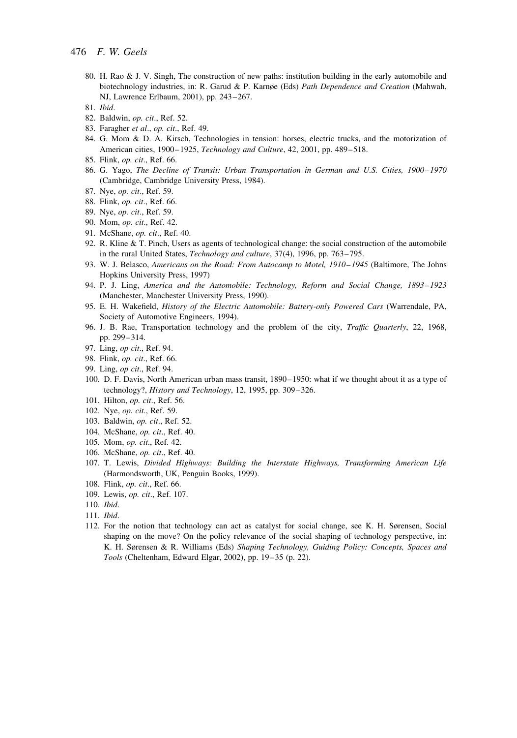- 80. H. Rao & J. V. Singh, The construction of new paths: institution building in the early automobile and biotechnology industries, in: R. Garud & P. Karnøe (Eds) Path Dependence and Creation (Mahwah, NJ, Lawrence Erlbaum, 2001), pp. 243–267.
- 81. Ibid.
- 82. Baldwin, op. cit., Ref. 52.
- 83. Faragher et al., op. cit., Ref. 49.
- 84. G. Mom & D. A. Kirsch, Technologies in tension: horses, electric trucks, and the motorization of American cities, 1900–1925, Technology and Culture, 42, 2001, pp. 489–518.
- 85. Flink, op. cit., Ref. 66.
- 86. G. Yago, The Decline of Transit: Urban Transportation in German and U.S. Cities, 1900–1970 (Cambridge, Cambridge University Press, 1984).
- 87. Nye, op. cit., Ref. 59.
- 88. Flink, op. cit., Ref. 66.
- 89. Nye, op. cit., Ref. 59.
- 90. Mom, op. cit., Ref. 42.
- 91. McShane, op. cit., Ref. 40.
- 92. R. Kline & T. Pinch, Users as agents of technological change: the social construction of the automobile in the rural United States, Technology and culture, 37(4), 1996, pp. 763–795.
- 93. W. J. Belasco, Americans on the Road: From Autocamp to Motel, 1910–1945 (Baltimore, The Johns Hopkins University Press, 1997)
- 94. P. J. Ling, America and the Automobile: Technology, Reform and Social Change, 1893–1923 (Manchester, Manchester University Press, 1990).
- 95. E. H. Wakefield, History of the Electric Automobile: Battery-only Powered Cars (Warrendale, PA, Society of Automotive Engineers, 1994).
- 96. J. B. Rae, Transportation technology and the problem of the city, Traffic Quarterly, 22, 1968, pp. 299–314.
- 97. Ling, op cit., Ref. 94.
- 98. Flink, op. cit., Ref. 66.
- 99. Ling, op cit., Ref. 94.
- 100. D. F. Davis, North American urban mass transit, 1890– 1950: what if we thought about it as a type of technology?, History and Technology, 12, 1995, pp. 309–326.
- 101. Hilton, op. cit., Ref. 56.
- 102. Nye, op. cit., Ref. 59.
- 103. Baldwin, op. cit., Ref. 52.
- 104. McShane, op. cit., Ref. 40.
- 105. Mom, op. cit., Ref. 42.
- 106. McShane, op. cit., Ref. 40.
- 107. T. Lewis, Divided Highways: Building the Interstate Highways, Transforming American Life (Harmondsworth, UK, Penguin Books, 1999).
- 108. Flink, op. cit., Ref. 66.
- 109. Lewis, op. cit., Ref. 107.
- 110. Ibid.
- 111. Ibid.
- 112. For the notion that technology can act as catalyst for social change, see K. H. Sørensen, Social shaping on the move? On the policy relevance of the social shaping of technology perspective, in: K. H. Sørensen & R. Williams (Eds) Shaping Technology, Guiding Policy: Concepts, Spaces and Tools (Cheltenham, Edward Elgar, 2002), pp. 19–35 (p. 22).